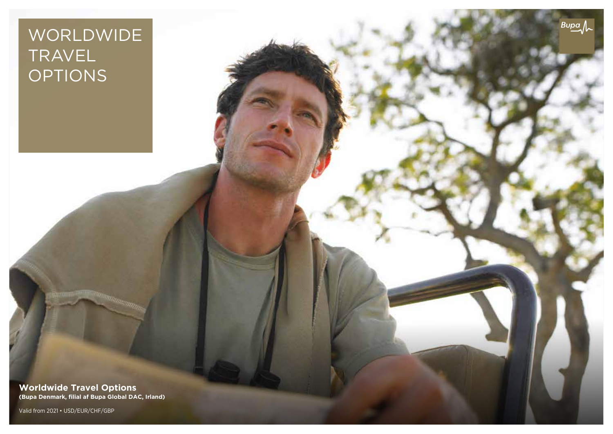# WORLDWIDE TRAVEL OPTIONS

 $Bupa \sim$ 

**Worldwide Travel Options (Bupa Denmark, filial af Bupa Global DAC, Irland)**

Valid from 2021 • USD/EUR/CHF/GBP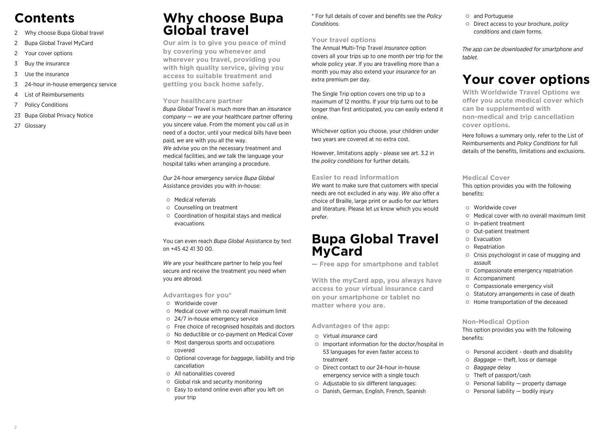## **Contents**

- 2 Why choose Bupa Global travel
- 2 Bupa Global Travel MyCard
- 2 Your cover options
- 3 Buy the insurance
- 3 Use the insurance
- 3 24-hour in-house emergency service
- 4 List of Reimbursements
- 7 Policy Conditions
- 23 Bupa Global Privacy Notice
- 27 Glossary

### **Why choose Bupa Global travel**

**Our aim is to give you peace of mind by covering you whenever and wherever you travel, providing you with high quality service, giving you access to suitable treatment and getting you back home safely.**

#### **Your healthcare partner**

*Bupa Global* Travel is much more than an *insurance company* — *we* are your healthcare partner offering you sincere value. From the moment you call *us* in need of a doctor, until your medical bills have been paid, *we* are with you all the way. *We* advise you on the necessary treatment and medical facilities, and *we* talk the language your hospital talks when arranging a procedure.

*Our* 24-hour emergency service *Bupa Global* Assistance provides you with in-house:

- Medical referrals
- Counselling on treatment
- Coordination of hospital stays and medical evacuations

You can even reach *Bupa Global* Assistance by text on +45 42 41 30 00.

*We* are your healthcare partner to help you feel secure and receive the treatment you need when you are abroad.

#### **Advantages for you\***

- Worldwide cover
- $\circ$  Medical cover with no overall maximum limit
- 24/7 in-house emergency service
- Free choice of recognised hospitals and doctors
- No deductible or co-payment on Medical Cover
- Most dangerous sports and occupations covered
- Optional coverage for *baggage*, liability and trip cancellation
- All nationalities covered
- Global risk and security monitoring
- Easy to extend online even after you left on your trip

\* For full details of cover and benefits see the *Policy Conditions*.

#### **Your travel options**

The Annual Multi-Trip Travel *Insurance* option covers all your trips up to one month per trip for the whole policy year. If you are travelling more than a month you may also extend your *insurance* for an extra premium per day.

The Single Trip option covers one trip up to a maximum of 12 months. If your trip turns out to be longer than first anticipated, you can easily extend it online.

Whichever option you choose, your children under two years are covered at no extra cost.

However, limitations apply - please see art. 3.2 in the *policy conditions* for further details.

#### **Easier to read information**

*We* want to make sure that customers with special needs are not excluded in any way. *We* also offer a choice of Braille, large print or audio for *our* letters and literature. Please let *us* know which you would prefer.

### **Bupa Global Travel MyCard**

**— Free app for smartphone and tablet**

**With the myCard app, you always have access to your virtual insurance card on your smartphone or tablet no matter where you are.**

#### **Advantages of the app:**

- Virtual *insurance* card
- Important information for the doctor/hospital in 53 languages for even faster access to treatment
- Direct contact to *our* 24-hour in-house emergency service with a single touch
- Adjustable to six different languages:
- Danish, German, English, French, Spanish

#### and Portuguese

Direct access to your brochure, *policy conditions* and *claim* forms.

*The app can be downloaded for smartphone and tablet.*

## **Your cover options**

**With Worldwide Travel Options we offer you acute medical cover which can be supplemented with non-medical and trip cancellation cover options.**

Here follows a summary only, refer to the List of Reimbursements and *Policy Conditions* for full details of the benefits, limitations and exclusions.

#### **Medical Cover**

This option provides you with the following benefits:

- Worldwide cover
- Medical cover with no overall maximum limit
- In-patient treatment
- Out-patient treatment
- Evacuation
- Repatriation
- Crisis psychologist in case of mugging and assault
- Compassionate emergency repatriation
- Accompaniment
- Compassionate emergency visit
- $\circ$  Statutory arrangements in case of death
- Home transportation of the deceased

#### **Non-Medical Option**

This option provides you with the following benefits:

- Personal accident death and disability
- *Baggage* theft, loss or damage
- *Baggage* delay
- Theft of passport/cash
- $\circ$  Personal liability property damage
- $\circ$  Personal liability  $-$  bodily injury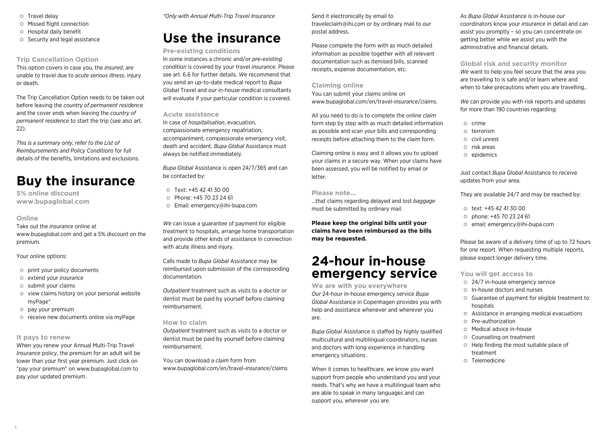- O Travel delay
- Missed flight connection
- Hospital daily benefit
- $\circ$  Security and legal assistance

#### **Trip Cancellation Option**

This option covers in case you, the *insured*, are unable to travel due to *acute serious illness*, injury or death.

The Trip Cancellation Option needs to be taken out before leaving the *country of permanent residence* and the cover ends when leaving the *country of permanent residence* to start the trip (see also art. 22).

*This is a summary only, refer to the List of Reimbursements and Policy Conditions* for full details of the benefits, limitations and exclusions.

## **Buy the insurance**

**5% online discount www.bupaglobal.com**

#### **Online**

Take out the *insurance* online at www.bupaglobal.com and get a 5% discount on the premium.

#### Your online options:

- $\circ$  print your policy documents
- extend your *insurance*
- $\circ$  submit your claims
- view claims history on your personal website myPage\*
- $\circ$  pay your premium
- $\circ$  receive new documents online via myPage

#### **It pays to renew**

When you renew your Annual Multi-Trip Travel *Insurance* policy, the premium for an adult will be lower than your first year premium. Just click on "pay your premium" on www.bupaglobal.com to pay your updated premium.

*\*Only with Annual Multi-Trip Travel Insurance*

## **Use the insurance**

#### **Pre-existing conditions**

In some instances a chronic and/or *pre-existing condition* is covered by your travel *insurance*. Please see art. 6.6 for further details. *We* recommend that you send an up-to-date medical report to *Bupa Global* Travel and *our* in-house medical consultants will evaluate if your particular condition is covered.

#### **Acute assistance**

In case of *hospitalisation*, evacuation, compassionate emergency repatriation, accompaniment, compassionate emergency visit, death and accident, *Bupa Global* Assistance must always be notified immediately.

*Bupa Global* Assistance is open 24/7/365 and can be contacted by:

- $O$  Text: +45 42 41 30 00
- Phone: +45 70 23 24 61
- Email: emergency@ihi-bupa.com

*We* can issue a guarantee of payment for eligible treatment to hospitals, arrange home transportation and provide other kinds of assistance in connection with acute illness and injury.

Calls made to *Bupa Global* Assistance may be reimbursed upon submission of the corresponding documentation.

*Outpatient* treatment such as visits to a doctor or dentist must be paid by yourself before claiming reimbursement.

#### **How to claim**

*Outpatient* treatment such as visits to a doctor or dentist must be paid by yourself before claiming reimbursement.

You can download a *claim* form from www.bupaglobal.com/en/travel-*insurance*/claims Send it electronically by email to traveleclaim@ihi.com or by ordinary mail to *our* postal address.

Please complete the form with as much detailed information as possible together with all relevant documentation such as itemised bills, scanned receipts, expense documentation, etc.

#### **Claiming online**

You can submit your claims online on www.bupaglobal.com/en/travel-*insurance*/claims.

All you need to do is to complete the online *claim* form step by step with as much detailed information as possible and scan your bills and corresponding receipts before attaching them to the *claim* form.

Claiming online is easy and it allows you to upload your claims in a secure way. When your claims have been assessed, you will be notified by email or letter.

#### **Please note...**

...that claims regarding delayed and lost *baggage* must be submitted by ordinary mail.

**Please keep the original bills until your claims have been reimbursed as the bills may be requested.**

## **24-hour in-house emergency service**

**We are with you everywhere** *Our* 24-hour in-house emergency service *Bupa Global* Assistance in Copenhagen provides you with help and assistance whenever and wherever you are.

*Bupa Global* Assistance is staffed by highly qualified multicultural and multilingual coordinators, nurses and doctors with long experience in handling emergency situations.

When it comes to healthcare, *we* know you want support from people who understand you and your needs. That's why *we* have a multilingual team who are able to speak in many languages and can support you, wherever you are.

As *Bupa Global* Assistance is in-house *our* coordinators know your *insurance* in detail and can assist you promptly – so you can concentrate on getting better while *we* assist you with the administrative and financial details.

**Global risk and security monitor** *We* want to help you feel secure that the area you are travelling to is safe and/or learn where and when to take precautions when you are travelling..

*We* can provide you with risk reports and updates for more than 190 countries regarding:

- o crime
- terrorism
- civil unrest
- $\circ$  risk areas
- $O$  epidemics

Just contact *Bupa Global* Assistance to receive updates from your area.

They are available 24/7 and may be reached by:

- text: +45 42 41 30 00
- $O$  phone: +45 70 23 24 61
- email: emergency@ihi-bupa.com

Please be aware of a delivery time of up to 72 hours for one report. When requesting multiple reports, please expect longer delivery time.

#### **You will get access to**

- 24/7 in-house emergency service
- In-house doctors and nurses
- Guarantee of payment for eligible treatment to hospitals
- Assistance in arranging medical evacuations
- Pre-authorization
- Medical advice in-house
- Counselling on treatment
- $\circ$  Help finding the most suitable place of treatment
- Telemedicine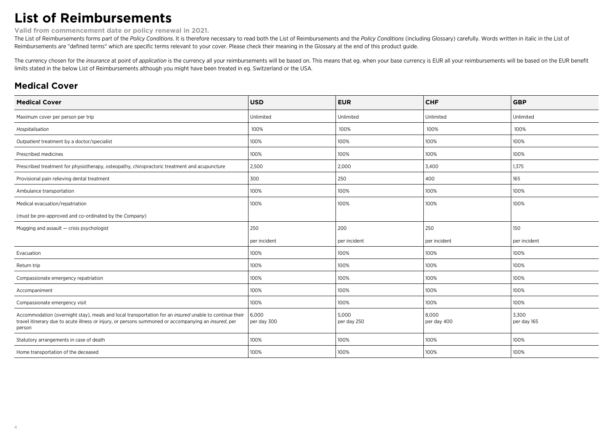## **List of Reimbursements**

**Valid from commencement date or policy renewal in 2021.**

The List of Reimbursements forms part of the Policy Conditions. It is therefore necessary to read both the List of Reimbursements and the Policy Conditions (including Glossary) carefully. Words written in italic in the Lis Reimbursements are "defined terms" which are specific terms relevant to your cover. Please check their meaning in the Glossary at the end of this product guide.

The currency chosen for the insurance at point of application is the currency all your reimbursements will be based on. This means that eg. when your base currency is EUR all your reimbursements will be based on the EUR be limits stated in the below List of Reimbursements although you might have been treated in eg. Switzerland or the USA.

### **Medical Cover**

| <b>Medical Cover</b>                                                                                                                                                                                                     | <b>USD</b>           | <b>EUR</b>           | <b>CHF</b>           | <b>GBP</b>           |
|--------------------------------------------------------------------------------------------------------------------------------------------------------------------------------------------------------------------------|----------------------|----------------------|----------------------|----------------------|
| Maximum cover per person per trip                                                                                                                                                                                        | Unlimited            | Unlimited            | Unlimited            | Unlimited            |
| Hospitalisation                                                                                                                                                                                                          | 100%                 | 100%                 | 100%                 | 100%                 |
| Outpatient treatment by a doctor/specialist                                                                                                                                                                              | 100%                 | 100%                 | 100%                 | 100%                 |
| Prescribed medicines                                                                                                                                                                                                     | 100%                 | 100%                 | 100%                 | 100%                 |
| Prescribed treatment for physiotherapy, osteopathy, chiropractoric treatment and acupuncture                                                                                                                             | 2,500                | 2,000                | 3,400                | 1,375                |
| Provisional pain relieving dental treatment                                                                                                                                                                              | 300                  | 250                  | 400                  | 165                  |
| Ambulance transportation                                                                                                                                                                                                 | 100%                 | 100%                 | 100%                 | 100%                 |
| Medical evacuation/repatriation                                                                                                                                                                                          | 100%                 | 100%                 | 100%                 | 100%                 |
| (must be pre-approved and co-ordinated by the Company)                                                                                                                                                                   |                      |                      |                      |                      |
| Mugging and assault - crisis psychologist                                                                                                                                                                                | 250                  | 200                  | 250                  | 150                  |
|                                                                                                                                                                                                                          | per incident         | per incident         | per incident         | per incident         |
| Evacuation                                                                                                                                                                                                               | 100%                 | 100%                 | 100%                 | 100%                 |
| Return trip                                                                                                                                                                                                              | 100%                 | 100%                 | 100%                 | 100%                 |
| Compassionate emergency repatriation                                                                                                                                                                                     | 100%                 | 100%                 | 100%                 | 100%                 |
| Accompaniment                                                                                                                                                                                                            | 100%                 | 100%                 | 100%                 | 100%                 |
| Compassionate emergency visit                                                                                                                                                                                            | 100%                 | 100%                 | 100%                 | 100%                 |
| Accommodation (overnight stay), meals and local transportation for an insured unable to continue their<br>travel itinerary due to acute illness or injury, or persons summoned or accompanying an insured, per<br>person | 6,000<br>per day 300 | 5,000<br>per day 250 | 8,000<br>per day 400 | 3,300<br>per day 165 |
| Statutory arrangements in case of death                                                                                                                                                                                  | 100%                 | 100%                 | 100%                 | 100%                 |
| Home transportation of the deceased                                                                                                                                                                                      | 100%                 | 100%                 | 100%                 | 100%                 |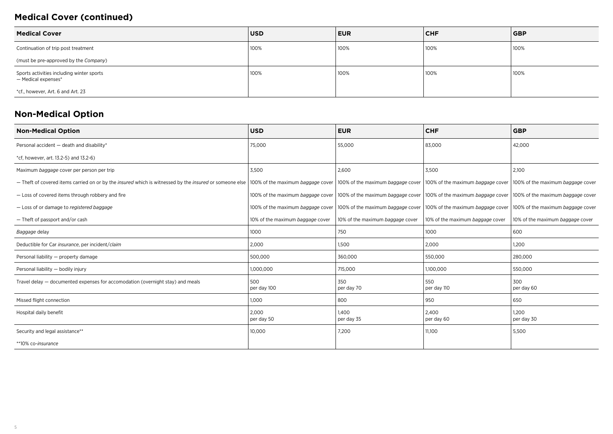### **Medical Cover (continued)**

| <b>Medical Cover</b>                                             | <b>USD</b> | <b>EUR</b> | <b>CHF</b> | <b>GBP</b> |
|------------------------------------------------------------------|------------|------------|------------|------------|
| Continuation of trip post treatment                              | 100%       | ່ 100%     | 100%       | 100%       |
| (must be pre-approved by the Company)                            |            |            |            |            |
| Sports activities including winter sports<br>- Medical expenses* | 100%       | 100%       | 100%       | 100%       |
| *cf., however, Art. 6 and Art. 23                                |            |            |            |            |

### **Non-Medical Option**

| <b>Non-Medical Option</b>                                                                                                                                 | <b>USD</b>                        | <b>EUR</b>                        | <b>CHF</b>                       | <b>GBP</b>                                                            |
|-----------------------------------------------------------------------------------------------------------------------------------------------------------|-----------------------------------|-----------------------------------|----------------------------------|-----------------------------------------------------------------------|
| Personal accident - death and disability*                                                                                                                 | 75,000                            | 55,000                            | 83,000                           | 42,000                                                                |
| *cf, however, art. 13.2-5) and 13.2-6)                                                                                                                    |                                   |                                   |                                  |                                                                       |
| Maximum baggage cover per person per trip                                                                                                                 | 3,500                             | 2,600                             | 3,500                            | 2,100                                                                 |
| - Theft of covered items carried on or by the <i>insured</i> which is witnessed by the <i>insured</i> or someone else   100% of the maximum baggage cover |                                   | 100% of the maximum baggage cover |                                  | 100% of the maximum baggage cover   100% of the maximum baggage cover |
| - Loss of covered items through robbery and fire                                                                                                          | 100% of the maximum baggage cover | 100% of the maximum baggage cover |                                  | 100% of the maximum baggage cover   100% of the maximum baggage cover |
| - Loss of or damage to registered baggage                                                                                                                 | 100% of the maximum baggage cover | 100% of the maximum baggage cover |                                  | 100% of the maximum baggage cover   100% of the maximum baggage cover |
| - Theft of passport and/or cash                                                                                                                           | 10% of the maximum baggage cover  | 10% of the maximum baggage cover  | 10% of the maximum baggage cover | 10% of the maximum baggage cover                                      |
| Baggage delay                                                                                                                                             | 1000                              | 750                               | 1000                             | 600                                                                   |
| Deductible for Car insurance, per incident/claim                                                                                                          | 2,000                             | 1,500                             | 2,000                            | 1,200                                                                 |
| Personal liability - property damage                                                                                                                      | 500,000                           | 360,000                           | 550,000                          | 280,000                                                               |
| Personal liability - bodily injury                                                                                                                        | 1,000,000                         | 715,000                           | 1,100,000                        | 550,000                                                               |
| Travel delay - documented expenses for accomodation (overnight stay) and meals                                                                            | 500<br>per day 100                | 350<br>per day 70                 | 550<br>per day 110               | 300<br>per day 60                                                     |
| Missed flight connection                                                                                                                                  | 1,000                             | 800                               | 950                              | 650                                                                   |
| Hospital daily benefit                                                                                                                                    | 2.000<br>per day 50               | 1.400<br>per day 35               | 2.400<br>per day 60              | 1.200<br>per day 30                                                   |
| Security and legal assistance**                                                                                                                           | 10,000                            | 7,200                             | 11,100                           | 5,500                                                                 |
| **10% co-insurance                                                                                                                                        |                                   |                                   |                                  |                                                                       |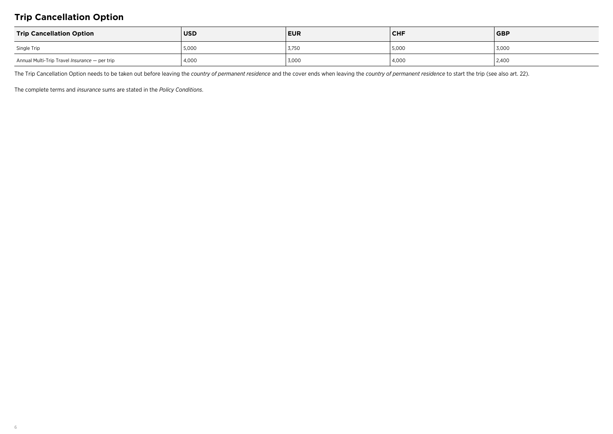### **Trip Cancellation Option**

| <b>Trip Cancellation Option</b>               | <b>USD</b> | <b>EUR</b> | <b>CHF</b> | <b>GBP</b> |
|-----------------------------------------------|------------|------------|------------|------------|
| Single Trip                                   | 5,000      | 3,750      | 5,000      | 3,000      |
| Annual Multi-Trip Travel Insurance - per trip | 4,000      | 3,000      | 4,000      | 2,400      |

The Trip Cancellation Option needs to be taken out before leaving the *country of permanent residence* and the cover ends when leaving the *country of permanent residence* to start the trip (see also art. 22).

The complete terms and *insurance* sums are stated in the *Policy Conditions*.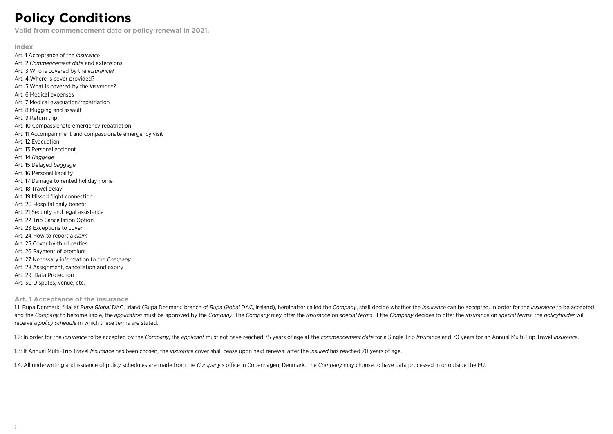## **Policy Conditions**

**Valid from commencement date or policy renewal in 2021.**

**Index** Art. 1 Acceptance of the *insurance* Art. 2 *Commencement date* and extensions Art. 3 Who is covered by the *insurance*? Art. 4 Where is cover provided? Art. 5 What is covered by the *insurance*? Art. 6 Medical expenses Art. 7 Medical evacuation/repatriation Art. 8 Mugging and assault Art. 9 Return trip Art. 10 Compassionate emergency repatriation Art. 11 Accompaniment and compassionate emergency visit Art. 12 Evacuation Art. 13 Personal accident Art. 14 *Baggage* Art. 15 Delayed *baggage* Art. 16 Personal liability Art. 17 Damage to rented holiday home Art. 18 Travel delay Art. 19 Missed flight connection Art. 20 Hospital daily benefit Art. 21 Security and legal assistance Art. 22 Trip Cancellation Option Art. 23 Exceptions to cover Art. 24 How to report a *claim* Art. 25 Cover by third parties Art. 26 Payment of premium Art. 27 Necessary information to the *Company* Art. 28 Assignment, cancellation and expiry Art. 29: Data Protection Art. 30 Disputes, venue, etc.

#### **Art. 1 Acceptance of the insurance**

1.1: Bupa Denmark, filial af Bupa Global DAC, Irland (Bupa Denmark, branch of Bupa Global DAC, Ireland), hereinafter called the Company, shall decide whether the insurance can be accepted. In order for the insurance to be and the Company to become liable, the application must be approved by the Company. The Company may offer the insurance on special terms. If the Company decides to offer the insurance on special terms, the policyholder will receive a *policy schedule* in which these terms are stated.

1.2: In order for the insurance to be accepted by the Company, the applicant must not have reached 75 years of age at the commencement date for a Single Trip Insurance and 70 years for an Annual Multi-Trip Travel Insurance

1.3: If Annual Multi-Trip Travel *Insurance* has been chosen, the *insurance* cover shall cease upon next renewal after the *insured* has reached 70 years of age.

1.4: All underwriting and issuance of policy schedules are made from the *Company*'s office in Copenhagen, Denmark. The *Company* may choose to have data processed in or outside the EU.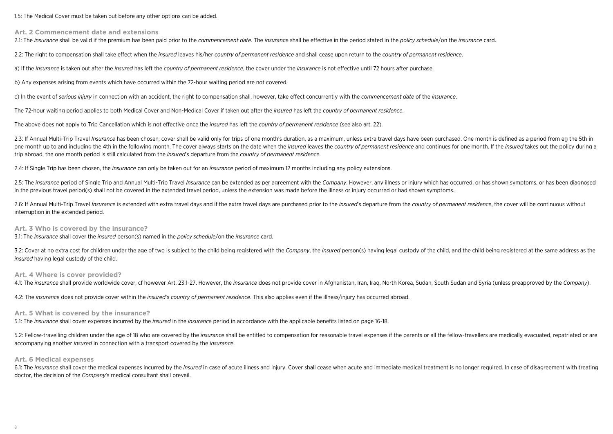1.5: The Medical Cover must be taken out before any other options can be added.

**Art. 2 Commencement date and extensions**

2.1: The insurance shall be valid if the premium has been paid prior to the commencement date. The insurance shall be effective in the period stated in the policy schedule/on the insurance card.

2.2: The right to compensation shall take effect when the *insured* leaves his/her *country of permanent residence* and shall cease upon return to the *country of permanent residence*.

a) If the *insurance* is taken out after the *insured* has left the *country of permanent residence*, the cover under the *insurance* is not effective until 72 hours after purchase.

b) Any expenses arising from events which have occurred within the 72-hour waiting period are not covered.

c) In the event of *serious injury* in connection with an accident, the right to compensation shall, however, take effect concurrently with the *commencement date* of the *insurance*.

The 72-hour waiting period applies to both Medical Cover and Non-Medical Cover if taken out after the *insured* has left the *country of permanent residence*.

The above does not apply to Trip Cancellation which is not effective once the *insured* has left the *country of permanent residence* (see also art. 22).

2.3: If Annual Multi-Trip Travel Insurance has been chosen, cover shall be valid only for trips of one month's duration, as a maximum, unless extra travel days have been purchased. One month is defined as a period from eg one month up to and including the 4th in the following month. The cover always starts on the date when the insured leaves the country of permanent residence and continues for one month. If the insured takes out the policy trip abroad, the one month period is still calculated from the *insured*'s departure from the *country of permanent residence*.

2.4: If Single Trip has been chosen, the *insurance* can only be taken out for an *insurance* period of maximum 12 months including any policy extensions.

2.5: The insurance period of Single Trip and Annual Multi-Trip Travel Insurance can be extended as per agreement with the Company. However, any illness or injury which has occurred, or has shown symptoms, or has been diagn in the previous travel period(s) shall not be covered in the extended travel period, unless the extension was made before the illness or injury occurred or had shown symptoms..

2.6: If Annual Multi-Trip Travel Insurance is extended with extra travel days and if the extra travel days are purchased prior to the insured's departure from the country of permanent residence, the cover will be continuou interruption in the extended period.

#### **Art. 3 Who is covered by the insurance?**

3.1: The *insurance* shall cover the *insured* person(s) named in the *policy schedule*/on the *insurance* card.

3.2: Cover at no extra cost for children under the age of two is subject to the child being registered with the Company, the insured person(s) having legal custody of the child, and the child being registered at the same a *insured* having legal custody of the child.

#### **Art. 4 Where is cover provided?**

4.1: The insurance shall provide worldwide cover, cf however Art. 23.1-27. However, the insurance does not provide cover in Afghanistan, Iran, Iraq, North Korea, Sudan, South Sudan and Syria (unless preapproved by the Comp

4.2: The *insurance* does not provide cover within the *insured*'s *country of permanent residence*. This also applies even if the illness/injury has occurred abroad.

#### **Art. 5 What is covered by the insurance?**

5.1: The *insurance* shall cover expenses incurred by the *insured* in the *insurance* period in accordance with the applicable benefits listed on page 16-18.

5.2: Fellow-travelling children under the age of 18 who are covered by the insurance shall be entitled to compensation for reasonable travel expenses if the parents or all the fellow-travellers are medically evacuated, rep accompanying another *insured* in connection with a transport covered by the *insurance*.

#### **Art. 6 Medical expenses**

6.1: The insurance shall cover the medical expenses incurred by the insured in case of acute illness and injury. Cover shall cease when acute and immediate medical treatment is no longer required. In case of disagreement w doctor, the decision of the *Company*'s medical consultant shall prevail.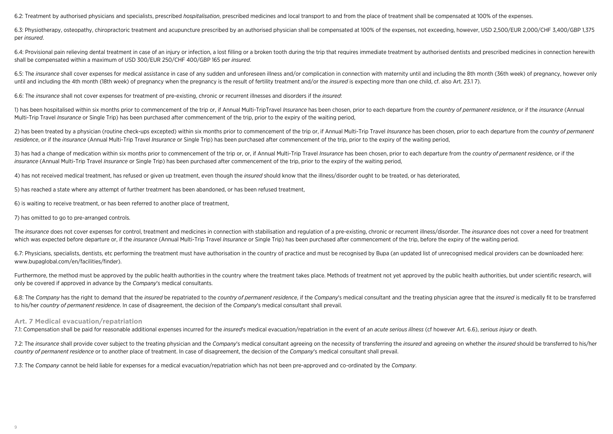6.2: Treatment by authorised physicians and specialists, prescribed *hospitalisation*, prescribed medicines and local transport to and from the place of treatment shall be compensated at 100% of the expenses.

6.3: Physiotherapy, osteopathy, chiropractoric treatment and acupuncture prescribed by an authorised physician shall be compensated at 100% of the expenses, not exceeding, however, USD 2,500/EUR 2,000/CHF 3,400/GBP 1,375 per *insured*.

6.4; Provisional pain relieving dental treatment in case of an injury or infection, a lost filling or a broken tooth during the trip that requires immediate treatment by authorised dentists and prescribed medicines in conn shall be compensated within a maximum of USD 300/EUR 250/CHF 400/GBP 165 per *insured*.

6.5: The insurance shall cover expenses for medical assistance in case of any sudden and unforeseen illness and/or complication in connection with maternity until and including the 8th month (36th week) of pregnancy, howev until and including the 4th month (18th week) of pregnancy when the pregnancy is the result of fertility treatment and/or the *insured* is expecting more than one child, cf. also Art. 23.1 7).

6.6: The *insurance* shall not cover expenses for treatment of pre-existing, chronic or recurrent illnesses and disorders if the *insured*:

1) has been hospitalised within six months prior to commencement of the trip or, if Annual Multi-TripTravel Insurance has been chosen, prior to each departure from the country of permanent residence, or if the insurance (A Multi-Trip Travel *Insurance* or Single Trip) has been purchased after commencement of the trip, prior to the expiry of the waiting period,

2) has been treated by a physician (routine check-ups excepted) within six months prior to commencement of the trip or, if Annual Multi-Trip Travel Insurance has been chosen, prior to each departure from the country of per *residence*, or if the *insurance* (Annual Multi-Trip Travel *Insurance* or Single Trip) has been purchased after commencement of the trip, prior to the expiry of the waiting period,

3) has had a change of medication within six months prior to commencement of the trip or, or, if Annual Multi-Trip Travel Insurance has been chosen, prior to each departure from the country of permanent residence, or if th *insurance* (Annual Multi-Trip Travel *Insurance* or Single Trip) has been purchased after commencement of the trip, prior to the expiry of the waiting period,

4) has not received medical treatment, has refused or given up treatment, even though the *insured* should know that the illness/disorder ought to be treated, or has deteriorated,

5) has reached a state where any attempt of further treatment has been abandoned, or has been refused treatment,

6) is waiting to receive treatment, or has been referred to another place of treatment,

7) has omitted to go to pre-arranged controls.

The insurance does not cover expenses for control, treatment and medicines in connection with stabilisation and regulation of a pre-existing, chronic or recurrent illness/disorder. The insurance does not cover a need for t which was expected before departure or, if the *insurance* (Annual Multi-Trip Travel *Insurance* or Single Trip) has been purchased after commencement of the trip, before the expiry of the waiting period.

6.7: Physicians, specialists, dentists, etc performing the treatment must have authorisation in the country of practice and must be recognised by Bupa (an updated list of unrecognised medical providers can be downloaded he www.bupaglobal.com/en/facilities/finder).

Furthermore, the method must be approved by the public health authorities in the country where the treatment takes place. Methods of treatment not yet approved by the public health authorities. but under scientific researc only be covered if approved in advance by the *Company*'s medical consultants.

6.8: The Company has the right to demand that the insured be repatriated to the country of permanent residence, if the Company's medical consultant and the treating physician agree that the insured is medically fit to be t to his/her *country of permanent residence*. In case of disagreement, the decision of the *Company*'s medical consultant shall prevail.

#### **Art. 7 Medical evacuation/repatriation**

7.1: Compensation shall be paid for reasonable additional expenses incurred for the insured's medical evacuation/repatriation in the event of an acute serious illness (cf however Art. 6.6), serious injury or death.

7.2: The insurance shall provide cover subject to the treating physician and the Company's medical consultant agreeing on the necessity of transferring the insured and agreeing on whether the insured should be transferred *country of permanent residence* or to another place of treatment. In case of disagreement, the decision of the *Company*'s medical consultant shall prevail.

7.3: The *Company* cannot be held liable for expenses for a medical evacuation/repatriation which has not been pre-approved and co-ordinated by the *Company*.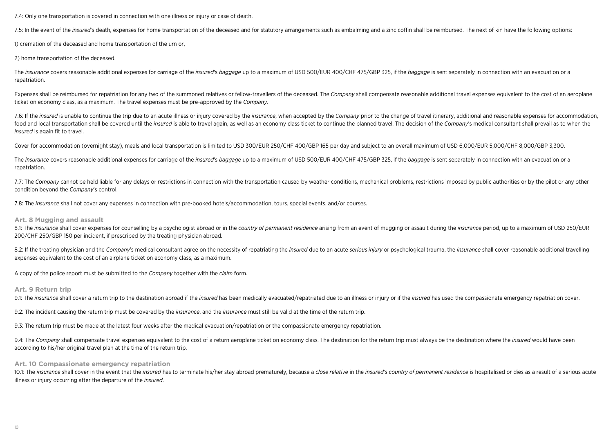7.4: Only one transportation is covered in connection with one illness or injury or case of death.

7.5: In the event of the insured's death, expenses for home transportation of the deceased and for statutory arrangements such as embalming and a zinc coffin shall be reimbursed. The next of kin have the following options:

1) cremation of the deceased and home transportation of the urn or,

2) home transportation of the deceased.

The insurance covers reasonable additional expenses for carriage of the insured's baggage up to a maximum of USD 500/EUR 400/CHF 475/GBP 325. if the baggage is sent separately in connection with an evacuation or a repatriation.

Expenses shall be reimbursed for repatriation for any two of the summoned relatives or fellow-travellers of the deceased. The Company shall compensate reasonable additional travel expenses equivalent to the cost of an aero ticket on economy class, as a maximum. The travel expenses must be pre-approved by the *Company*.

7.6: If the insured is unable to continue the trip due to an acute illness or injury covered by the insurance, when accepted by the Company prior to the change of travel itinerary, additional and reasonable expenses for ac food and local transportation shall be covered until the *insured* is able to travel again, as well as an economy class ticket to continue the planned travel. The decision of the *Company's* medical consultant shall prevai *insured* is again fit to travel.

Cover for accommodation (overnight stay), meals and local transportation is limited to USD 300/EUR 250/CHF 400/GBP 165 per day and subject to an overall maximum of USD 6,000/EUR 5,000/CHF 8,000/GBP 3,300.

The insurance covers reasonable additional expenses for carriage of the insured's baggage up to a maximum of USD 500/EUR 400/CHF 475/GBP 325, if the baggage is sent separately in connection with an evacuation or a repatriation.

7.7: The Company cannot be held liable for any delays or restrictions in connection with the transportation caused by weather conditions, mechanical problems, restrictions imposed by public authorities or by the pilot or a condition beyond the *Company*'s control.

7.8: The *insurance* shall not cover any expenses in connection with pre-booked hotels/accommodation, tours, special events, and/or courses.

#### **Art. 8 Mugging and assault**

8.1: The insurance shall cover expenses for counselling by a psychologist abroad or in the country of permanent residence arising from an event of mugging or assault during the insurance period, up to a maximum of USD 250/ 200/CHF 250/GBP 150 per incident, if prescribed by the treating physician abroad.

8.2: If the treating physician and the Company's medical consultant agree on the necessity of repatriating the *insured* due to an acute *serious injury* or psychological trauma, the *insurance* shall cover reasonable addi expenses equivalent to the cost of an airplane ticket on economy class, as a maximum.

A copy of the police report must be submitted to the *Company* together with the *claim* form.

#### **Art. 9 Return trip**

9.1: The insurance shall cover a return trip to the destination abroad if the insured has been medically evacuated/repatriated due to an illness or injury or if the insured has used the compassionate emergency repatriation

9.2: The incident causing the return trip must be covered by the *insurance*, and the *insurance* must still be valid at the time of the return trip.

9.3: The return trip must be made at the latest four weeks after the medical evacuation/repatriation or the compassionate emergency repatriation.

9.4: The Company shall compensate travel expenses equivalent to the cost of a return aeroplane ticket on economy class. The destination for the return trip must always be the destination where the insured would have been according to his/her original travel plan at the time of the return trip.

#### **Art. 10 Compassionate emergency repatriation**

10.1: The insurance shall cover in the event that the insured has to terminate his/her stay abroad prematurely, because a close relative in the insured's country of permanent residence is hospitalised or dies as a result o illness or injury occurring after the departure of the *insured*.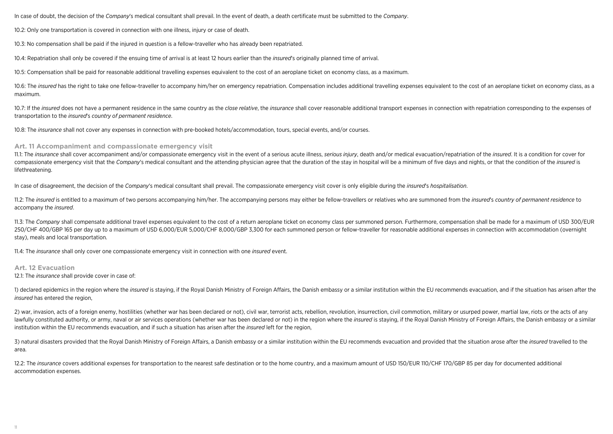In case of doubt, the decision of the *Company*'s medical consultant shall prevail. In the event of death, a death certificate must be submitted to the *Company*.

10.2: Only one transportation is covered in connection with one illness, injury or case of death.

10.3: No compensation shall be paid if the injured in question is a fellow-traveller who has already been repatriated.

10.4: Repatriation shall only be covered if the ensuing time of arrival is at least 12 hours earlier than the *insured*'s originally planned time of arrival.

10.5: Compensation shall be paid for reasonable additional travelling expenses equivalent to the cost of an aeroplane ticket on economy class, as a maximum.

10.6: The insured has the right to take one fellow-traveller to accompany him/her on emergency repatriation. Compensation includes additional travelling expenses equivalent to the cost of an aeroplane ticket on economy cla maximum.

10.7: If the insured does not have a permanent residence in the same country as the close relative, the insurance shall cover reasonable additional transport expenses in connection with repatriation corresponding to the ex transportation to the *insured*'s *country of permanent residence*.

10.8: The *insurance* shall not cover any expenses in connection with pre-booked hotels/accommodation, tours, special events, and/or courses.

#### **Art. 11 Accompaniment and compassionate emergency visit**

11.1: The insurance shall cover accompaniment and/or compassionate emergency visit in the event of a serious acute illness, serious injury, death and/or medical evacuation/repatriation of the insured. It is a condition for compassionate emergency visit that the Company's medical consultant and the attending physician agree that the duration of the stay in hospital will be a minimum of five days and nights, or that the condition of the insure lifethreatening.

In case of disagreement, the decision of the *Company*'s medical consultant shall prevail. The compassionate emergency visit cover is only eligible during the *insured*'s *hospitalisation*.

11.2: The insured is entitled to a maximum of two persons accompanying him/her. The accompanying persons may either be fellow-travellers or relatives who are summoned from the insured's country of permanent residence to accompany the *insured*.

11.3: The Company shall compensate additional travel expenses equivalent to the cost of a return aeroplane ticket on economy class per summoned person. Furthermore, compensation shall be made for a maximum of USD 300/EUR 250/CHF 400/GBP 165 per day up to a maximum of USD 6,000/EUR 5,000/CHF 8,000/GBP 3,300 for each summoned person or fellow-traveller for reasonable additional expenses in connection with accommodation (overnight stay), meals and local transportation.

11.4: The *insurance* shall only cover one compassionate emergency visit in connection with one *insured* event.

#### **Art. 12 Evacuation**

12.1: The *insurance* shall provide cover in case of:

1) declared epidemics in the region where the *insured* is staying, if the Royal Danish Ministry of Foreign Affairs, the Danish embassy or a similar institution within the EU recommends evacuation, and if the situation has *insured* has entered the region,

2) war, invasion, acts of a foreign enemy, hostilities (whether war has been declared or not), civil war, terrorist acts, rebellion, revolution, insurrection, civil commotion, military or usurped power, martial law, riots lawfully constituted authority, or army, naval or air services operations (whether war has been declared or not) in the region where the insured is staying, if the Royal Danish Ministry of Foreign Affairs, the Danish embas institution within the EU recommends evacuation, and if such a situation has arisen after the *insured* left for the region,

3) natural disasters provided that the Royal Danish Ministry of Foreign Affairs, a Danish embassy or a similar institution within the EU recommends evacuation and provided that the situation arose after the insured travell area.

12.2: The *insurance* covers additional expenses for transportation to the nearest safe destination or to the home country, and a maximum amount of USD 150/EUR 110/CHF 170/GBP 85 per day for documented additional accommodation expenses.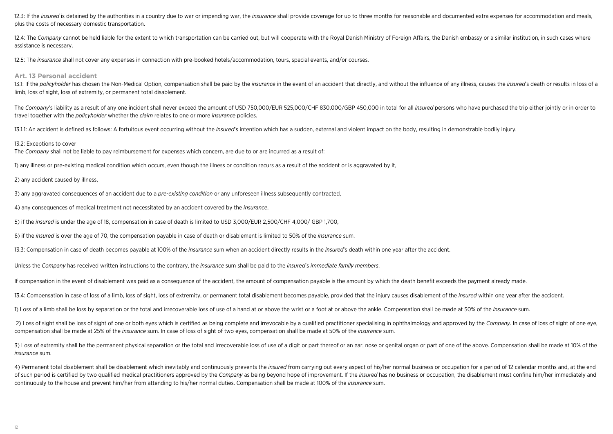12.3: If the *insured* is detained by the authorities in a country due to war or impending war, the *insurance* shall provide coverage for up to three months for reasonable and documented extra expenses for accommodation a plus the costs of necessary domestic transportation.

12.4: The Company cannot be held liable for the extent to which transportation can be carried out, but will cooperate with the Royal Danish Ministry of Foreign Affairs, the Danish embassy or a similar institution, in such assistance is necessary.

12.5: The *insurance* shall not cover any expenses in connection with pre-booked hotels/accommodation, tours, special events, and/or courses.

#### **Art. 13 Personal accident**

13.1: If the policyholder has chosen the Non-Medical Option, compensation shall be paid by the insurance in the event of an accident that directly, and without the influence of any illness, causes the insured's death or re limb, loss of sight, loss of extremity, or permanent total disablement.

The Company's liability as a result of any one incident shall never exceed the amount of USD 750,000/EUR 525,000/CHF 830,000/GBP 450,000 in total for all *insured* persons who have purchased the trip either iointly or in o travel together with the *policyholder* whether the *claim* relates to one or more *insurance* policies.

13.1.1: An accident is defined as follows: A fortuitous event occurring without the *insured*'s intention which has a sudden, external and violent impact on the body, resulting in demonstrable bodily injury.

#### 13.2: Exceptions to cover

The *Company* shall not be liable to pay reimbursement for expenses which concern, are due to or are incurred as a result of:

1) any illness or pre-existing medical condition which occurs, even though the illness or condition recurs as a result of the accident or is aggravated by it,

2) any accident caused by illness,

3) any aggravated consequences of an accident due to a *pre-existing condition* or any unforeseen illness subsequently contracted,

4) any consequences of medical treatment not necessitated by an accident covered by the *insurance*,

5) if the *insured* is under the age of 18, compensation in case of death is limited to USD 3,000/EUR 2,500/CHF 4,000/ GBP 1,700,

6) if the *insured* is over the age of 70, the compensation payable in case of death or disablement is limited to 50% of the *insurance* sum.

13.3: Compensation in case of death becomes payable at 100% of the *insurance* sum when an accident directly results in the *insured*'s death within one year after the accident.

Unless the *Company* has received written instructions to the contrary, the *insurance* sum shall be paid to the *insured*'s *immediate family members*.

If compensation in the event of disablement was paid as a consequence of the accident, the amount of compensation payable is the amount by which the death benefit exceeds the payment already made.

13.4: Compensation in case of loss of a limb, loss of sight, loss of extremity, or permanent total disablement becomes payable, provided that the injury causes disablement of the *insured* within one year after the acciden

1) Loss of a limb shall be loss by separation or the total and irrecoverable loss of use of a hand at or above the wrist or a foot at or above the ankle. Compensation shall be made at 50% of the *insurance* sum.

2) Loss of sight shall be loss of sight of one or both eves which is certified as being complete and irrevocable by a qualified practitioner specialising in ophthalmology and approved by the Company. In case of loss of sig compensation shall be made at 25% of the *insurance* sum. In case of loss of sight of two eyes, compensation shall be made at 50% of the *insurance* sum.

3) Loss of extremity shall be the permanent physical separation or the total and irrecoverable loss of use of a digit or part thereof or an ear, nose or genital organ or part of one of the above. Compensation shall be made *insurance* sum.

4) Permanent total disablement shall be disablement which inevitably and continuously prevents the *insured* from carrying out every aspect of his/her normal business or occupation for a period of 12 calendar months and, a of such period is certified by two qualified medical practitioners approved by the Company as being beyond hope of improvement. If the insured has no business or occupation, the disablement must confine him/her immediately continuously to the house and prevent him/her from attending to his/her normal duties. Compensation shall be made at 100% of the *insurance* sum.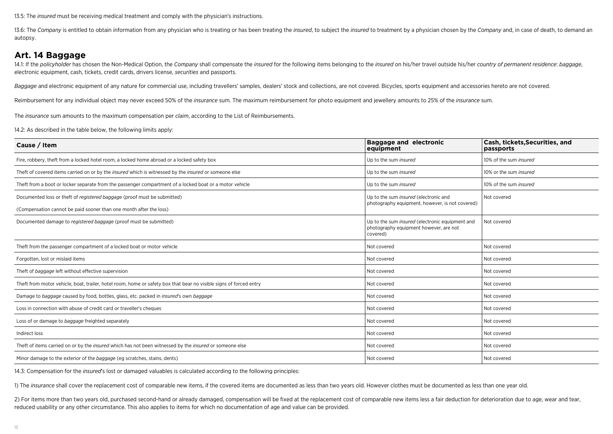13.5: The *insured* must be receiving medical treatment and comply with the physician's instructions.

13.6: The Company is entitled to obtain information from any physician who is treating or has been treating the insured, to subject the insured to treatment by a physician chosen by the Company and, in case of death, to de autopsy.

### **Art. 14 Baggage**

14.1: If the policyholder has chosen the Non-Medical Option, the Company shall compensate the insured for the following items belonging to the insured on his/her travel outside his/her country of permanent residence: bagga electronic equipment, cash, tickets, credit cards, drivers license, *securities* and passports.

Baggage and electronic equipment of any nature for commercial use, including travellers' samples, dealers' stock and collections, are not covered. Bicycles, sports equipment and accessories hereto are not covered.

Reimbursement for any individual object may never exceed 50% of the *insurance* sum. The maximum reimbursement for photo equipment and jewellery amounts to 25% of the *insurance* sum.

The *insurance* sum amounts to the maximum compensation per *claim*, according to the List of Reimbursements.

14.2: As described in the table below, the following limits apply:

| Cause / Item                                                                                                          | <b>Baggage and electronic</b><br>equipment                                                                   | Cash, tickets, Securities, and<br>passports |  |
|-----------------------------------------------------------------------------------------------------------------------|--------------------------------------------------------------------------------------------------------------|---------------------------------------------|--|
| Fire, robbery, theft from a locked hotel room, a locked home abroad or a locked safety box                            | Up to the sum insured                                                                                        | 10% of the sum insured                      |  |
| Theft of covered items carried on or by the <i>insured</i> which is witnessed by the <i>insured</i> or someone else   | Up to the sum insured                                                                                        | 10% or the sum <i>insured</i>               |  |
| Theft from a boot or locker separate from the passenger compartment of a locked boat or a motor vehicle               | Up to the sum insured                                                                                        | 10% of the sum <i>insured</i>               |  |
| Documented loss or theft of registered baggage (proof must be submitted)                                              | Up to the sum insured (electronic and                                                                        | Not covered                                 |  |
| (Compensation cannot be paid sooner than one month after the loss)                                                    | photography equipment, however, is not covered)                                                              |                                             |  |
| Documented damage to registered baggage (proof must be submitted)                                                     | Up to the sum <i>insured</i> (electronic equipment and<br>photography equipment however, are not<br>covered) | Not covered                                 |  |
| Theft from the passenger compartment of a locked boat or motor vehicle                                                | Not covered                                                                                                  | Not covered                                 |  |
| Forgotten, lost or mislaid items                                                                                      | Not covered                                                                                                  | Not covered                                 |  |
| Theft of baggage left without effective supervision                                                                   | Not covered                                                                                                  | Not covered                                 |  |
| Theft from motor vehicle, boat, trailer, hotel room, home or safety box that bear no visible signs of forced entry    | Not covered                                                                                                  | Not covered                                 |  |
| Damage to baggage caused by food, bottles, glass, etc. packed in insured's own baggage                                | Not covered                                                                                                  | Not covered                                 |  |
| Loss in connection with abuse of credit card or traveller's cheques                                                   | Not covered                                                                                                  | Not covered                                 |  |
| Loss of or damage to baggage freighted separately                                                                     | Not covered                                                                                                  | Not covered                                 |  |
| Indirect loss                                                                                                         | Not covered                                                                                                  | Not covered                                 |  |
| Theft of items carried on or by the <i>insured</i> which has not been witnessed by the <i>insured</i> or someone else | Not covered                                                                                                  | Not covered                                 |  |
| Minor damage to the exterior of the baggage (eg scratches, stains, dents)                                             | Not covered                                                                                                  | Not covered                                 |  |

14.3: Compensation for the *insured*'s lost or damaged valuables is calculated according to the following principles:

1) The *insurance* shall cover the replacement cost of comparable new items, if the covered items are documented as less than two years old. However clothes must be documented as less than one year old.

2) For items more than two years old, purchased second-hand or already damaged, compensation will be fixed at the replacement cost of comparable new items less a fair deduction for deterioration due to age, wear and tear, reduced usability or any other circumstance. This also applies to items for which no documentation of age and value can be provided.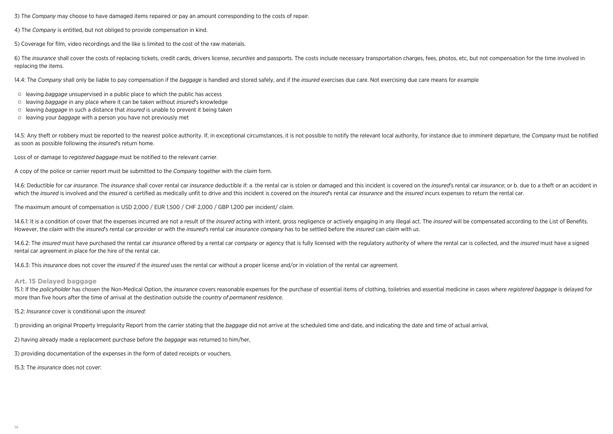3) The *Company* may choose to have damaged items repaired or pay an amount corresponding to the costs of repair.

4) The *Company* is entitled, but not obliged to provide compensation in kind.

5) Coverage for film, video recordings and the like is limited to the cost of the raw materials.

6) The insurance shall cover the costs of replacing tickets, credit cards, drivers license, securities and passports. The costs include necessary transportation charges, fees, photos, etc, but not compensation for the time replacing the items.

14.4: The *Company* shall only be liable to pay compensation if the *baggage* is handled and stored safely, and if the *insured* exercises due care. Not exercising due care means for example

- leaving *baggage* unsupervised in a public place to which the public has access
- leaving *baggage* in any place where it can be taken without *insured*'s knowledge
- leaving *baggage* in such a distance that *insured* is unable to prevent it being taken
- leaving your *baggage* with a person you have not previously met

14.5: Any theft or robbery must be reported to the nearest police authority. If, in exceptional circumstances, it is not possible to notify the relevant local authority, for instance due to imminent departure, the Company as soon as possible following the *insured*'s return home.

Loss of or damage to *registered baggage* must be notified to the relevant carrier.

A copy of the police or carrier report must be submitted to the *Company* together with the *claim* form.

14.6: Deductible for car insurance. The insurance shall cover rental car insurance deductible if: a. the rental car is stolen or damaged and this incident is covered on the insured's rental car insurance; or b. due to a th which the insured is involved and the insured is certified as medically unfit to drive and this incident is covered on the insured's rental car insurance and the insured incurs expenses to return the rental car.

The maximum amount of compensation is USD 2,000 / EUR 1,500 / CHF 2,000 / GBP 1,200 per incident/ *claim*.

14.6.1: It is a condition of cover that the expenses incurred are not a result of the insured acting with intent, gross negligence or actively engaging in any illegal act. The insured will be compensated according to the L However, the *claim* with the *insured*'s rental car provider or with the *insured*'s rental car *insurance company* has to be settled before the *insured* can *claim* with *us*.

14.6.2: The insured must have purchased the rental car insurance offered by a rental car company or agency that is fully licensed with the regulatory authority of where the rental car is collected, and the insured must hav rental car agreement in place for the hire of the rental car.

14.6.3: This *insurance* does not cover the *insured* if the *insured* uses the rental car without a proper license and/or in violation of the rental car agreement.

#### **Art. 15 Delayed baggage**

15.1: If the policyholder has chosen the Non-Medical Option, the insurance covers reasonable expenses for the purchase of essential items of clothing, toiletries and essential medicine in cases where registered baggage is more than five hours after the time of arrival at the destination outside the *country of permanent residence*.

15.2: *Insurance* cover is conditional upon the *insured*:

1) providing an original Property Irregularity Report from the carrier stating that the *baggage* did not arrive at the scheduled time and date, and indicating the date and time of actual arrival,

2) having already made a replacement purchase before the *baggage* was returned to him/her,

3) providing documentation of the expenses in the form of dated receipts or vouchers.

15.3: The *insurance* does not cover: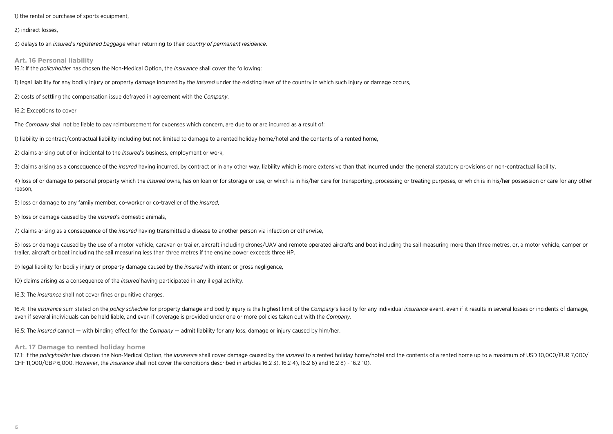1) the rental or purchase of sports equipment,

#### 2) indirect losses,

3) delays to an *insured*'s *registered baggage* when returning to their *country of permanent residence*.

#### **Art. 16 Personal liability**

16.1: If the *policyholder* has chosen the Non-Medical Option, the *insurance* shall cover the following:

1) legal liability for any bodily injury or property damage incurred by the *insured* under the existing laws of the country in which such injury or damage occurs,

2) costs of settling the compensation issue defrayed in agreement with the *Company*.

#### 16.2: Exceptions to cover

The *Company* shall not be liable to pay reimbursement for expenses which concern, are due to or are incurred as a result of:

1) liability in contract/contractual liability including but not limited to damage to a rented holiday home/hotel and the contents of a rented home,

2) claims arising out of or incidental to the *insured*'s business, employment or work,

3) claims arising as a consequence of the insured having incurred, by contract or in any other way, liability which is more extensive than that incurred under the general statutory provisions on non-contractual liability,

4) loss of or damage to personal property which the insured owns, has on loan or for storage or use, or which is in his/her care for transporting, processing or treating purposes, or which is in his/her possession or care reason,

5) loss or damage to any family member, co-worker or co-traveller of the *insured*,

6) loss or damage caused by the *insured*'s domestic animals,

7) claims arising as a consequence of the *insured* having transmitted a disease to another person via infection or otherwise,

8) loss or damage caused by the use of a motor vehicle, caravan or trailer, aircraft including drones/UAV and remote operated aircrafts and boat including the sail measuring more than three metres, or, a motor vehicle, cam trailer, aircraft or boat including the sail measuring less than three metres if the engine power exceeds three HP.

9) legal liability for bodily injury or property damage caused by the *insured* with intent or gross negligence,

10) claims arising as a consequence of the *insured* having participated in any illegal activity.

16.3: The *insurance* shall not cover fines or punitive charges.

16.4: The insurance sum stated on the policy schedule for property damage and bodily injury is the highest limit of the Company's liability for any individual insurance event, even if it results in several losses or incide even if several individuals can be held liable, and even if coverage is provided under one or more policies taken out with the *Company*.

16.5: The *insured* cannot — with binding effect for the *Company* — admit liability for any loss, damage or injury caused by him/her.

#### **Art. 17 Damage to rented holiday home**

17.1: If the policyholder has chosen the Non-Medical Option, the insurance shall cover damage caused by the insured to a rented holiday home/hotel and the contents of a rented home up to a maximum of USD 10,000/EUR 7,000/ CHF 11,000/GBP 6,000. However, the *insurance* shall not cover the conditions described in articles 16.2 3), 16.2 4), 16.2 6) and 16.2 8) - 16.2 10).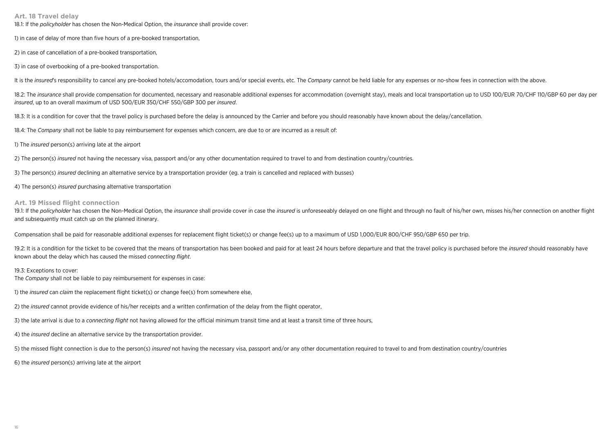**Art. 18 Travel delay**

18.1: If the *policyholder* has chosen the Non-Medical Option, the *insurance* shall provide cover:

1) in case of delay of more than five hours of a pre-booked transportation,

2) in case of cancellation of a pre-booked transportation,

3) in case of overbooking of a pre-booked transportation.

It is the insured's responsibility to cancel any pre-booked hotels/accomodation, tours and/or special events, etc. The Company cannot be held liable for any expenses or no-show fees in connection with the above.

18.2: The insurance shall provide compensation for documented, necessary and reasonable additional expenses for accommodation (overnight stay), meals and local transportation up to USD 100/EUR 70/CHF 110/GBP 60 per day per *insured*, up to an overall maximum of USD 500/EUR 350/CHF 550/GBP 300 per *insured*.

18.3: It is a condition for cover that the travel policy is purchased before the delay is announced by the Carrier and before you should reasonably have known about the delay/cancellation.

18.4: The *Company* shall not be liable to pay reimbursement for expenses which concern, are due to or are incurred as a result of:

1) The *insured* person(s) arriving late at the airport

2) The person(s) *insured* not having the necessary visa, passport and/or any other documentation required to travel to and from destination country/countries.

3) The person(s) *insured* declining an alternative service by a transportation provider (eg. a train is cancelled and replaced with busses)

4) The person(s) *insured* purchasing alternative transportation

#### **Art. 19 Missed flight connection**

19.1: If the policyholder has chosen the Non-Medical Option, the insurance shall provide cover in case the insured is unforeseeably delayed on one flight and through no fault of his/her own, misses his/her connection on an and subsequently must catch up on the planned itinerary.

Compensation shall be paid for reasonable additional expenses for replacement flight ticket(s) or change fee(s) up to a maximum of USD 1,000/EUR 800/CHF 950/GBP 650 per trip.

19.2; It is a condition for the ticket to be covered that the means of transportation has been booked and paid for at least 24 hours before departure and that the travel policy is purchased before the *insured* should reas known about the delay which has caused the missed *connecting flight*.

#### 19.3: Exceptions to cover:

The *Company* shall not be liable to pay reimbursement for expenses in case:

1) the *insured* can *claim* the replacement flight ticket(s) or change fee(s) from somewhere else,

2) the *insured* cannot provide evidence of his/her receipts and a written confirmation of the delay from the flight operator,

3) the late arrival is due to a *connecting flight* not having allowed for the official minimum transit time and at least a transit time of three hours,

4) the *insured* decline an alternative service by the transportation provider.

5) the missed flight connection is due to the person(s) *insured* not having the necessary visa, passport and/or any other documentation required to travel to and from destination country/countries

6) the *insured* person(s) arriving late at the airport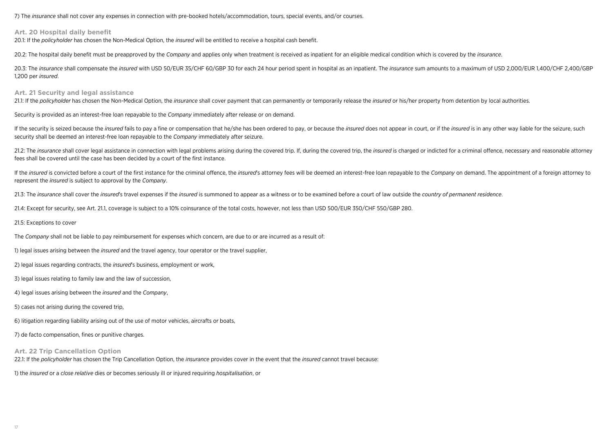7) The *insurance* shall not cover any expenses in connection with pre-booked hotels/accommodation, tours, special events, and/or courses.

#### **Art. 20 Hospital daily benefit**

20.1: If the *policyholder* has chosen the Non-Medical Option, the *insured* will be entitled to receive a hospital cash benefit.

20.2: The hospital daily benefit must be preapproved by the *Company* and applies only when treatment is received as inpatient for an eligible medical condition which is covered by the *insurance*.

20.3: The insurance shall compensate the insured with USD 50/EUR 35/CHF 60/GBP 30 for each 24 hour period spent in hospital as an inpatient. The insurance sum amounts to a maximum of USD 2,000/EUR 1,400/CHF 2,400/GBP 1,200 per *insured*.

#### **Art. 21 Security and legal assistance**

21.1: If the policyholder has chosen the Non-Medical Option, the insurance shall cover payment that can permanently or temporarily release the insured or his/her property from detention by local authorities.

Security is provided as an interest-free loan repayable to the *Company* immediately after release or on demand.

If the security is seized because the insured fails to pay a fine or compensation that he/she has been ordered to pay, or because the insured does not appear in court, or if the insured is in any other way liable for the s security shall be deemed an interest-free loan repayable to the *Company* immediately after seizure.

21.2: The insurance shall cover legal assistance in connection with legal problems arising during the covered trip. If, during the covered trip, the insured is charged or indicted for a criminal offence, necessary and reas fees shall be covered until the case has been decided by a court of the first instance.

If the insured is convicted before a court of the first instance for the criminal offence, the insured's attorney fees will be deemed an interest-free loan repayable to the Company on demand. The appointment of a foreign a represent the *insured* is subject to approval by the *Company*.

21.3: The *insurance* shall cover the *insured*'s travel expenses if the *insured* is summoned to appear as a witness or to be examined before a court of law outside the *country of permanent residence*.

21.4: Except for security, see Art. 21.1, coverage is subject to a 10% coinsurance of the total costs, however, not less than USD 500/EUR 350/CHF 550/GBP 280.

#### 21.5: Exceptions to cover

The *Company* shall not be liable to pay reimbursement for expenses which concern, are due to or are incurred as a result of:

1) legal issues arising between the *insured* and the travel agency, tour operator or the travel supplier,

2) legal issues regarding contracts, the *insured*'s business, employment or work,

3) legal issues relating to family law and the law of succession,

4) legal issues arising between the *insured* and the *Company*,

5) cases not arising during the covered trip,

6) litigation regarding liability arising out of the use of motor vehicles, aircrafts or boats,

7) de facto compensation, fines or punitive charges.

**Art. 22 Trip Cancellation Option**

22.1: If the *policyholder* has chosen the Trip Cancellation Option, the *insurance* provides cover in the event that the *insured* cannot travel because:

1) the *insured* or a *close relative* dies or becomes seriously ill or injured requiring *hospitalisation*, or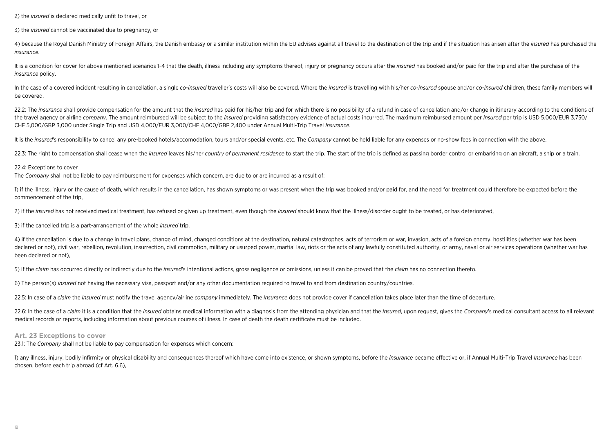2) the *insured* is declared medically unfit to travel, or

3) the *insured* cannot be vaccinated due to pregnancy, or

4) because the Royal Danish Ministry of Foreign Affairs, the Danish embassy or a similar institution within the EU advises against all travel to the destination of the trip and if the situation has arisen after the insured *insurance*.

It is a condition for cover for above mentioned scenarios 1-4 that the death. illness including any symptoms thereof, injury or pregnancy occurs after the *insured* has booked and/or paid for the trip and after the purchas *insurance* policy.

In the case of a covered incident resulting in cancellation, a single co-insured traveller's costs will also be covered. Where the insured is travelling with his/her co-insured spouse and/or co-insured children, these fami be covered.

22.2: The insurance shall provide compensation for the amount that the insured has paid for his/her trip and for which there is no possibility of a refund in case of cancellation and/or change in itinerary according to the the travel agency or airline company. The amount reimbursed will be subject to the insured providing satisfactory evidence of actual costs incurred. The maximum reimbursed amount per insured per trip is USD 5,000/EUR 3,750 CHF 5,000/GBP 3,000 under Single Trip and USD 4,000/EUR 3,000/CHF 4,000/GBP 2,400 under Annual Multi-Trip Travel *Insurance*.

It is the insured's responsibility to cancel any pre-booked hotels/accomodation, tours and/or special events, etc. The Company cannot be held liable for any expenses or no-show fees in connection with the above.

22.3: The right to compensation shall cease when the *insured* leaves his/her country of permanent residence to start the trip. The start of the trip is defined as passing border control or embarking on an aircraft, a ship

#### 22.4: Exceptions to cover

The *Company* shall not be liable to pay reimbursement for expenses which concern, are due to or are incurred as a result of:

1) if the illness, injury or the cause of death, which results in the cancellation, has shown symptoms or was present when the trip was booked and/or paid for, and the need for treatment could therefore be expected before commencement of the trip,

2) if the *insured* has not received medical treatment, has refused or given up treatment, even though the *insured* should know that the illness/disorder ought to be treated, or has deteriorated,

3) if the cancelled trip is a part-arrangement of the whole *insured* trip,

4) if the cancellation is due to a change in travel plans, change of mind, changed conditions at the destination, natural catastrophes, acts of terrorism or war, invasion, acts of a foreign enemy, hostilities (whether war declared or not), civil war, rebellion, revolution, insurrection, civil commotion, military or usurped power, martial law, riots or the acts of any lawfully constituted authority, or army, nayal or air services operations been declared or not),

5) if the *claim* has occurred directly or indirectly due to the *insured*'s intentional actions, gross negligence or omissions, unless it can be proved that the *claim* has no connection thereto.

6) The person(s) *insured* not having the necessary visa, passport and/or any other documentation required to travel to and from destination country/countries.

22.5: In case of a *claim* the *insured* must notify the travel agency/airline *company* immediately. The *insurance* does not provide cover if cancellation takes place later than the time of departure.

22.6: In the case of a *claim* it is a condition that the *insured* obtains medical information with a diagnosis from the attending physician and that the *insured*, upon request, gives the *Company's* medical consultant a medical records or reports, including information about previous courses of illness. In case of death the death certificate must be included.

#### **Art. 23 Exceptions to cover**

23.1: The *Company* shall not be liable to pay compensation for expenses which concern:

1) any illness, injury, bodily infirmity or physical disability and consequences thereof which have come into existence, or shown symptoms, before the *insurance* became effective or, if Annual Multi-Trip Trayel *Insurance* chosen, before each trip abroad (cf Art. 6.6),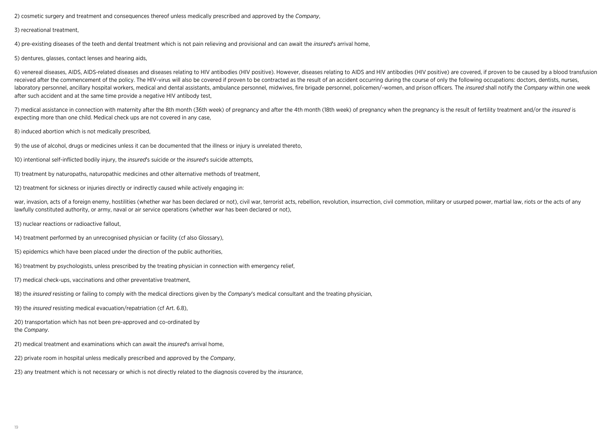2) cosmetic surgery and treatment and consequences thereof unless medically prescribed and approved by the *Company*,

3) recreational treatment,

4) pre-existing diseases of the teeth and dental treatment which is not pain relieving and provisional and can await the *insured*'s arrival home,

5) dentures, glasses, contact lenses and hearing aids,

6) venereal diseases, AIDS, AIDS-related diseases and diseases relating to HIV antibodies (HIV positive). However, diseases relating to AIDS and HIV antibodies (HIV positive) are covered, if proven to be caused by a blood received after the commencement of the policy. The HIV-virus will also be covered if proven to be contracted as the result of an accident occurring during the course of only the following occupations: doctors, dentists, nu laboratory personnel, ancillary hospital workers, medical and dental assistants, ambulance personnel, midwives, fire brigade personnel, policemen/-women, and prison officers. The insured shall notify the Company within one after such accident and at the same time provide a negative HIV antibody test,

7) medical assistance in connection with maternity after the 8th month (36th week) of pregnancy and after the 4th month (18th week) of pregnancy when the pregnancy is the result of fertility treatment and/or the insured is expecting more than one child. Medical check ups are not covered in any case,

8) induced abortion which is not medically prescribed,

9) the use of alcohol, drugs or medicines unless it can be documented that the illness or injury is unrelated thereto,

10) intentional self-inflicted bodily injury, the *insured*'s suicide or the *insured*'s suicide attempts,

11) treatment by naturopaths, naturopathic medicines and other alternative methods of treatment,

12) treatment for sickness or injuries directly or indirectly caused while actively engaging in:

war, invasion, acts of a foreign enemy, hostilities (whether war has been declared or not), civil war, terrorist acts, rebellion, revolution, insurrection, civil commotion, military or usurped power, martial law, riots or lawfully constituted authority, or army, naval or air service operations (whether war has been declared or not),

13) nuclear reactions or radioactive fallout,

14) treatment performed by an unrecognised physician or facility (cf also Glossary),

15) epidemics which have been placed under the direction of the public authorities,

16) treatment by psychologists, unless prescribed by the treating physician in connection with emergency relief,

17) medical check-ups, vaccinations and other preventative treatment,

18) the *insured* resisting or failing to comply with the medical directions given by the *Company*'s medical consultant and the treating physician,

19) the *insured* resisting medical evacuation/repatriation (cf Art. 6.8),

20) transportation which has not been pre-approved and co-ordinated by the *Company*.

21) medical treatment and examinations which can await the *insured*'s arrival home,

22) private room in hospital unless medically prescribed and approved by the *Company*,

23) any treatment which is not necessary or which is not directly related to the diagnosis covered by the *insurance*,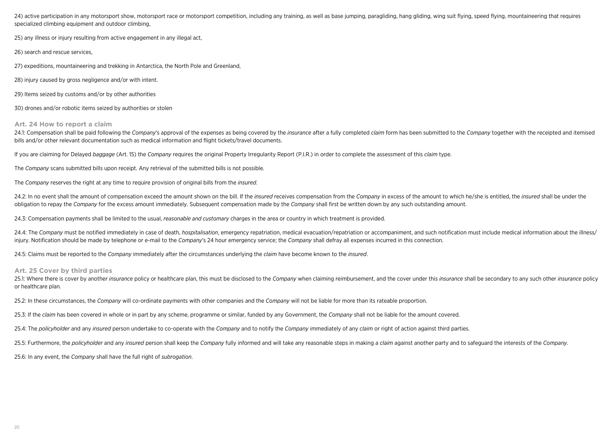24) active participation in any motorsport show, motorsport race or motorsport competition, including any training, as well as base jumping, paragliding, hang gliding, wing suit flying, speed flying, mountaineering that re specialized climbing equipment and outdoor climbing.

25) any illness or injury resulting from active engagement in any illegal act,

26) search and rescue services,

27) expeditions, mountaineering and trekking in Antarctica, the North Pole and Greenland,

28) injury caused by gross negligence and/or with intent.

29) Items seized by customs and/or by other authorities

30) drones and/or robotic items seized by authorities or stolen

#### **Art. 24 How to report a claim**

24.1: Compensation shall be paid following the Company's approval of the expenses as being covered by the insurance after a fully completed *claim* form has been submitted to the Company together with the receipted and ite bills and/or other relevant documentation such as medical information and flight tickets/travel documents.

If you are claiming for Delayed *baggage* (Art. 15) the *Company* requires the original Property Irregularity Report (P.I.R.) in order to complete the assessment of this *claim* type.

The *Company* scans submitted bills upon receipt. Any retrieval of the submitted bills is not possible.

The *Company* reserves the right at any time to require provision of original bills from the *insured*.

24.2: In no event shall the amount of compensation exceed the amount shown on the bill. If the insured receives compensation from the Company in excess of the amount to which he/she is entitled, the insured shall be under obligation to repay the *Company* for the excess amount immediately. Subsequent compensation made by the *Company* shall first be written down by any such outstanding amount.

24.3: Compensation payments shall be limited to the usual, *reasonable and customary* charges in the area or country in which treatment is provided.

24.4: The Company must be notified immediately in case of death, *hospitalisation*, emergency repatriation, medical evacuation/repatriation or accompaniment, and such notification must include medical information about the injury. Notification should be made by telephone or e-mail to the *Company*'s 24 hour emergency service; the *Company* shall defray all expenses incurred in this connection.

24.5: Claims must be reported to the *Company* immediately after the circumstances underlying the *claim* have become known to the *insured*.

#### **Art. 25 Cover by third parties**

25.1: Where there is cover by another insurance policy or healthcare plan, this must be disclosed to the Company when claiming reimbursement, and the cover under this insurance shall be secondary to any such other insuranc or healthcare plan.

25.2: In these circumstances, the *Company* will co-ordinate payments with other companies and the *Company* will not be liable for more than its rateable proportion.

25.3: If the *claim* has been covered in whole or in part by any scheme, programme or similar, funded by any Government, the *Company* shall not be liable for the amount covered.

25.4: The *policyholder* and any *insured* person undertake to co-operate with the *Company* and to notify the *Company* immediately of any *claim* or right of action against third parties.

25.5; Furthermore, the policyholder and any insured person shall keep the Company fully informed and will take any reasonable steps in making a claim against another party and to safeguard the interests of the Company,

25.6: In any event, the *Company* shall have the full right of *subrogation*.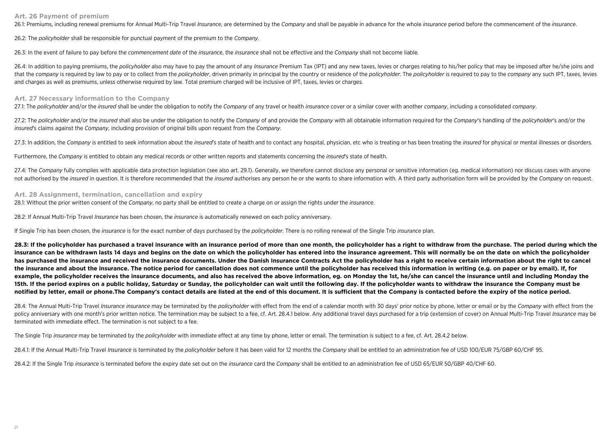#### **Art. 26 Payment of premium**

26.1: Premiums, including renewal premiums for Annual Multi-Trip Travel *Insurance*, are determined by the *Company* and shall be payable in advance for the whole *insurance* period before the commencement of the *insuranc* 

26.2: The *policyholder* shall be responsible for punctual payment of the premium to the *Company*.

26.3: In the event of failure to pay before the *commencement date* of the *insurance*, the *insurance* shall not be effective and the *Company* shall not become liable.

26.4: In addition to paying premiums, the *policyholder* also may have to pay the amount of any *Insurance* Premium Tax (IPT) and any new taxes, levies or charges relating to his/her policy that may be imposed after he/she that the company is required by law to pay or to collect from the policyholder, driven primarily in principal by the country or residence of the policyholder. The policyholder is required to pay to the company any such IPT and charges as well as premiums, unless otherwise required by law. Total premium charged will be inclusive of IPT, taxes, levies or charges.

#### **Art. 27 Necessary information to the Company**

27.1: The policyholder and/or the insured shall be under the obligation to notify the Company of any travel or health insurance cover or a similar cover with another company, including a consolidated company,

27.2: The policyholder and/or the insured shall also be under the obligation to notify the Company of and provide the Company with all obtainable information required for the Company's handling of the policyholder's and/or *insured*'s claims against the *Company*, including provision of original bills upon request from the *Company*.

27.3: In addition, the Company is entitled to seek information about the insured's state of health and to contact any hospital, physician, etc who is treating or has been treating the insured for physical or mental illness

Furthermore, the *Company* is entitled to obtain any medical records or other written reports and statements concerning the *insured*'s state of health.

27.4: The Company fully complies with applicable data protection legislation (see also art. 29.1). Generally, we therefore cannot disclose any personal or sensitive information (eg. medical information) nor discuss cases w not authorised by the *insured* in question. It is therefore recommended that the *insured* authorises any person he or she wants to share information with. A third party authorisation form will be provided by the Company

#### **Art. 28 Assignment, termination, cancellation and expiry**

28.1: Without the prior written consent of the *Company*, no party shall be entitled to create a charge on or assign the rights under the *insurance*.

28.2: If Annual Multi-Trip Travel *Insurance* has been chosen, the *insurance* is automatically renewed on each policy anniversary.

If Single Trip has been chosen, the *insurance* is for the exact number of days purchased by the *policyholder*. There is no rolling renewal of the Single Trip *insurance* plan.

**28.3: If the policyholder has purchased a travel insurance with an insurance period of more than one month, the policyholder has a right to withdraw from the purchase. The period during which the insurance can be withdrawn lasts 14 days and begins on the date on which the policyholder has entered into the insurance agreement. This will normally be on the date on which the policyholder has purchased the insurance and received the insurance documents. Under the Danish Insurance Contracts Act the policyholder has a right to receive certain information about the right to cancel the insurance and about the insurance. The notice period for cancellation does not commence until the policyholder has received this information in writing (e.g. on paper or by email). If, for example, the policyholder receives the insurance documents, and also has received the above information, eg. on Monday the 1st, he/she can cancel the insurance until and including Monday the 15th. If the period expires on a public holiday, Saturday or Sunday, the policyholder can wait until the following day. If the policyholder wants to withdraw the insurance the Company must be notified by letter, email or phone.The Company's contact details are listed at the end of this document. It is sufficient that the Company is contacted before the expiry of the notice period.**

28.4: The Annual Multi-Trip Travel Insurance insurance may be terminated by the policyholder with effect from the end of a calendar month with 30 days' prior notice by phone, letter or email or by the Company with effect f policy anniversary with one month's prior written notice. The termination may be subject to a fee, cf. Art. 28.4.1 below. Any additional travel days purchased for a trip (extension of cover) on Annual Multi-Trip Travel Ins terminated with immediate effect. The termination is not subject to a fee.

The Single Trip *insurance* may be terminated by the *policyholder* with immediate effect at any time by phone, letter or email. The termination is subject to a fee, cf. Art. 28.4.2 below.

28.4.1: If the Annual Multi-Trip Travel Insurance is terminated by the policyholder before it has been valid for 12 months the Company shall be entitled to an administration fee of USD 100/EUR 75/GBP 60/CHF 95.

28.4.2: If the Single Trip *insurance* is terminated before the expiry date set out on the *insurance* card the *Company* shall be entitled to an administration fee of USD 65/EUR 50/GBP 40/CHF 60.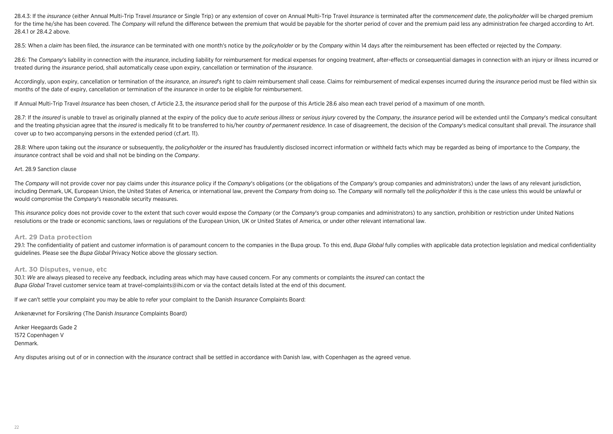28.4.3: If the insurance (either Annual Multi-Trip Travel Insurance or Single Trip) or any extension of cover on Annual Multi-Trip Travel Insurance is terminated after the commencement date, the policyholder will be charge for the time he/she has been covered. The Company will refund the difference between the premium that would be payable for the shorter period of cover and the premium paid less any administration fee charged according to A 28.4.1 or 28.4.2 above.

28.5: When a claim has been filed, the insurance can be terminated with one month's notice by the policyholder or by the Company within 14 days after the reimbursement has been effected or rejected by the Company.

28.6: The Company's liability in connection with the insurance, including liability for reimbursement for medical expenses for ongoing treatment, after-effects or consequential damages in connection with an injury or illne treated during the *insurance* period, shall automatically cease upon expiry, cancellation or termination of the *insurance*.

Accordingly, upon expiry, cancellation or termination of the insurance, an insured's right to claim reimbursement shall cease. Claims for reimbursement of medical expenses incurred during the insurance period must be filed months of the date of expiry, cancellation or termination of the *insurance* in order to be eligible for reimbursement.

If Annual Multi-Trip Travel *Insurance* has been chosen, cf Article 2.3, the *insurance* period shall for the purpose of this Article 28.6 also mean each travel period of a maximum of one month.

28.7: If the insured is unable to travel as originally planned at the expiry of the policy due to acute serious illness or serious injury covered by the Company, the insurance period will be extended until the Company's me and the treating physician agree that the insured is medically fit to be transferred to his/her country of permanent residence. In case of disagreement, the decision of the Company's medical consultant shall prevail. The i cover up to two accompanying persons in the extended period (cf.art. 11).

28.8: Where upon taking out the insurance or subsequently, the policyholder or the insured has fraudulently disclosed incorrect information or withheld facts which may be regarded as being of importance to the Company, the *insurance* contract shall be void and shall not be binding on the *Company*.

#### Art. 28.9 Sanction clause

The Company will not provide cover nor pay claims under this insurance policy if the Company's obligations (or the obligations of the Company's group companies and administrators) under the laws of any relevant iurisdictio including Denmark, UK, European Union, the United States of America, or international law, prevent the Company from doing so. The Company will normally tell the policyholder if this is the case unless this would be unlawfu would compromise the *Company*'s reasonable security measures.

This insurance policy does not provide cover to the extent that such cover would expose the Company (or the Company's group companies and administrators) to any sanction, prohibition or restriction under United Nations resolutions or the trade or economic sanctions, laws or regulations of the European Union, UK or United States of America, or under other relevant international law.

#### **Art. 29 Data protection**

29.1: The confidentiality of patient and customer information is of paramount concern to the companies in the Bupa group. To this end, Bupa Global fully complies with applicable data protection legislation and medical conf guidelines. Please see the *Bupa Global* Privacy Notice above the glossary section.

#### **Art. 30 Disputes, venue, etc**

30.1: *We* are always pleased to receive any feedback, including areas which may have caused concern. For any comments or complaints the *insured* can contact the *Bupa Global* Travel customer service team at travel-complaints@ihi.com or via the contact details listed at the end of this document.

If *we* can't settle your complaint you may be able to refer your complaint to the Danish *Insurance* Complaints Board:

Ankenævnet for Forsikring (The Danish *Insurance* Complaints Board)

Anker Heegaards Gade 2 1572 Copenhagen V Denmark.

Any disputes arising out of or in connection with the *insurance* contract shall be settled in accordance with Danish law, with Copenhagen as the agreed venue.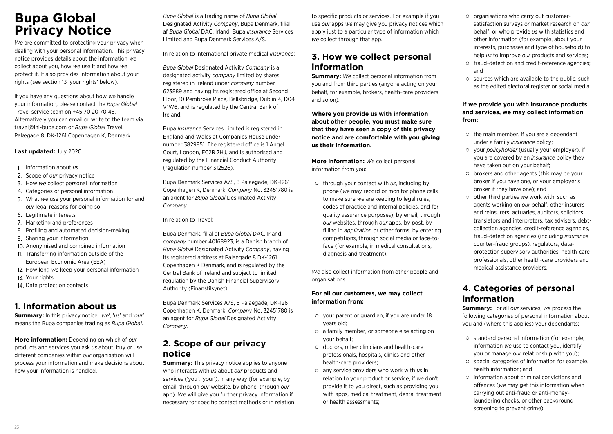## **Bupa Global Privacy Notice**

*We* are committed to protecting your privacy when dealing with your personal information. This privacy notice provides details about the information *we* collect about you, how *we* use it and how *we* protect it. It also provides information about your rights (see section 13 'your rights' below).

If you have any questions about how *we* handle your information, please contact the *Bupa Global* Travel service team on +45 70 20 70 48. Alternatively you can email or write to the team via travel@ihi-bupa.com or *Bupa Global* Travel, Palægade 8, DK-1261 Copenhagen K, Denmark.

#### **Last updated:** July 2020

- 1. Information about *us*
- 2. Scope of *our* privacy notice
- 3. How *we* collect personal information
- 4. Categories of personal information
- 5. What *we* use your personal information for and *our* legal reasons for doing so
- 6. Legitimate interests
- 7. Marketing and preferences
- 8. Profiling and automated decision-making
- 9. Sharing your information
- 10. Anonymised and combined information
- 11. Transferring information outside of the European Economic Area (EEA)
- 12. How long *we* keep your personal information
- 13. Your rights
- 14. Data protection contacts

### **1. Information about us**

**Summary:** In this privacy notice, '*we*', '*us*' and '*our*' means the Bupa companies trading as *Bupa Global*.

**More information:** Depending on which of *our* products and services you ask *us* about, buy or use, different companies within *our* organisation will process your information and make decisions about how your information is handled.

*Bupa Global* is a trading name of *Bupa Global* Designated Activity *Company*, Bupa Denmark, filial af *Bupa Global* DAC, Irland, Bupa *Insurance* Services Limited and Bupa Denmark Services A/S.

In relation to international private medical *insurance*:

*Bupa Global* Designated Activity *Company* is a designated activity *company* limited by shares registered in Ireland under *company* number 623889 and having its registered office at Second Floor, 10 Pembroke Place, Ballsbridge, Dublin 4, D04 V1W6, and is regulated by the Central Bank of Ireland.

Bupa *Insurance* Services Limited is registered in England and Wales at Companies House under number 3829851. The registered office is 1 Angel Court, London, EC2R 7HJ, and is authorised and regulated by the Financial Conduct Authority (regulation number 312526).

Bupa Denmark Services A/S, 8 Palaegade, DK-1261 Copenhagen K, Denmark, *Company* No. 32451780 is an agent for *Bupa Global* Designated Activity *Company*.

In relation to Travel:

Bupa Denmark, filial af *Bupa Global* DAC, Irland, *company* number 40168923, is a Danish branch of *Bupa Global* Designated Activity *Company*, having its registered address at Palaegade 8 DK-1261 Copenhagen K Denmark, and is regulated by the Central Bank of Ireland and subject to limited regulation by the Danish Financial Supervisory Authority (Finanstilsynet).

Bupa Denmark Services A/S, 8 Palaegade, DK-1261 Copenhagen K, Denmark, *Company* No. 32451780 is an agent for *Bupa Global* Designated Activity *Company*.

### **2. Scope of our privacy notice**

**Summary:** This privacy notice applies to anyone who interacts with *us* about *our* products and services ('you', 'your'), in any way (for example, by email, through *our* website, by phone, through *our* app). *We* will give you further privacy information if necessary for specific contact methods or in relation to specific products or services. For example if you use *our* apps *we* may give you privacy notices which apply just to a particular type of information which *we* collect through that app.

### **3. How we collect personal information**

**Summary:** *We* collect personal information from you and from third parties (anyone acting on your behalf, for example, brokers, health-care providers and so on).

**Where you provide us with information about other people, you must make sure that they have seen a copy of this privacy notice and are comfortable with you giving us their information.** 

**More information:** *We* collect personal information from you:

through your contact with *us*, including by phone (*we* may record or monitor phone calls to make sure *we* are keeping to legal rules, codes of practice and internal policies, and for quality assurance purposes), by email, through *our* websites, through *our* apps, by post, by filling in *application* or other forms, by entering competitions, through social media or face-toface (for example, in medical consultations, diagnosis and treatment).

*We* also collect information from other people and organisations.

#### **For all our customers, we may collect information from:**

- $\circ$  vour parent or guardian, if you are under 18 years old;
- a family member, or someone else acting on your behalf;
- doctors, other clinicians and health-care professionals, hospitals, clinics and other health-care providers;
- any service providers who work with *us* in relation to your product or service, if *we* don't provide it to you direct, such as providing you with apps, medical treatment, dental treatment or health assessments;
- $\circ$  organisations who carry out customersatisfaction surveys or market research on *our* behalf, or who provide *us* with statistics and other information (for example, about your interests, purchases and type of household) to help *us* to improve *our* products and services;
- fraud-detection and credit-reference agencies; and
- $\circ$  sources which are available to the public, such as the edited electoral register or social media.

#### **If we provide you with insurance products and services, we may collect information from:**

- $\circ$  the main member, if you are a dependant under a family *insurance* policy;
- your *policyholder* (usually your employer), if you are covered by an *insurance* policy they have taken out on your behalf;
- brokers and other agents (this may be your broker if you have one, or your employer's broker if they have one); and
- other third parties *we* work with, such as agents working on *our* behalf, other insurers and reinsurers, actuaries, auditors, solicitors, translators and interpreters, tax advisers, debtcollection agencies, credit-reference agencies, fraud-detection agencies (including *insurance* counter-fraud groups), regulators, dataprotection supervisory authorities, health-care professionals, other health-care providers and medical-assistance providers.

### **4. Categories of personal information**

**Summary:** For all *our* services, *we* process the following categories of personal information about you and (where this applies) your dependants:

- $\circ$  standard personal information (for example, information *we* use to contact you, identify you or manage *our* relationship with you);
- $\circ$  special categories of information for example, health information; and
- $\circ$  information about criminal convictions and offences (*we* may get this information when carrying out anti-fraud or anti-moneylaundering checks, or other background screening to prevent crime).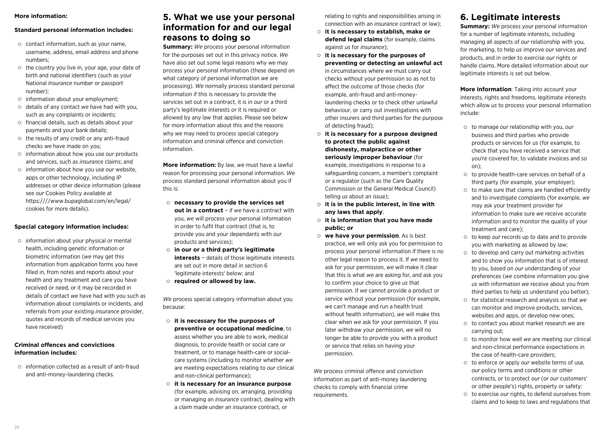#### **More information:**

#### **Standard personal information includes:**

- $\circ$  contact information, such as your name. username, address, email address and phone numbers;
- $\circ$  the country you live in, your age, your date of birth and national identifiers (such as your National *Insurance* number or passport number);
- information about your employment;
- details of any contact *we* have had with you, such as any complaints or incidents;
- $\circ$  financial details, such as details about your payments and your bank details;
- $\circ$  the results of any credit or any anti-fraud checks *we* have made on you;
- information about how you use *our* products and services, such as *insurance* claims; and
- information about how you use *our* website, apps or other technology, including IP addresses or other device information (please see *our* Cookies Policy available at https:////www.bupaglobal.com/en/legal/ cookies for more details).

#### **Special category information includes:**

 $\circ$  information about your physical or mental health, including genetic information or biometric information (*we* may get this information from *application* forms you have filled in, from notes and reports about your health and any treatment and care you have received or need, or it may be recorded in details of contact *we* have had with you such as information about complaints or incidents, and referrals from your existing *insurance* provider, quotes and records of medical services you have received)

#### **Criminal offences and convictions information includes:**

 $\circ$  information collected as a result of anti-fraud and anti-money-laundering checks.

### **5. What we use your personal information for and our legal reasons to doing so**

**Summary:** *We* process your personal information for the purposes set out in this privacy notice. *We* have also set out some legal reasons why *we* may process your personal information (these depend on what category of personal information *we* are processing). *We* normally process standard personal information if this is necessary to provide the services set out in a contract, it is in *our* or a third party's legitimate interests or it is required or allowed by any law that applies. Please see below for more information about this and the reasons why *we* may need to process special category information and criminal offence and conviction information.

**More information:** By law, *we* must have a lawful reason for processing your personal information. *We* process standard personal information about you if this is:

- **necessary to provide the services set out in a contract** − if *we* have a contract with you, *we* will process your personal information in order to fulfil that contract (that is, to provide you and your dependants with *our* products and services);
- **in our or a third party's legitimate interests** − details of those legitimate interests are set out in more detail in section 6 'legitimate interests' below; and
- **required or allowed by law.**

*We* process special category information about you because:

- **it is necessary for the purposes of preventive or occupational medicine**, to assess whether you are able to work, medical diagnosis, to provide health or social care or treatment, or to manage health-care or socialcare systems (including to monitor whether *we* are meeting expectations relating to *our* clinical and non-clinical performance);
- **it is necessary for an insurance purpose**  (for example, advising on, arranging, providing or managing an *insurance* contract, dealing with a *claim* made under an *insurance* contract, or

relating to rights and responsibilities arising in connection with an *insurance* contract or law);

- **it is necessary to establish, make or defend legal claims** (for example, claims against *us* for *insurance*);
- **it is necessary for the purposes of preventing or detecting an unlawful act** in circumstances where *we* must carry out checks without your permission so as not to affect the outcome of those checks (for example, anti-fraud and anti-moneylaundering checks or to check other unlawful behaviour, or carry out investigations with other insurers and third parties for the purpose of detecting fraud);
- **it is necessary for a purpose designed to protect the public against dishonesty, malpractice or other seriously improper behaviour** (for example, investigations in response to a safeguarding concern, a member's complaint or a regulator (such as the Care Quality Commission or the General Medical Council) telling *us* about an issue);
- **it is in the public interest, in line with any laws that apply**;
- **it is information that you have made public; or**
- **we have your permission**. As is best practice, *we* will only ask you for permission to process your personal information if there is no other legal reason to process it. If *we* need to ask for your permission, *we* will make it clear that this is what *we* are asking for, and ask you to confirm your choice to give *us* that permission. If *we* cannot provide a product or service without your permission (for example, *we* can't manage and run a health trust without health information), *we* will make this clear when *we* ask for your permission. If you later withdraw your permission, *we* will no longer be able to provide you with a product or service that relies on having your permission.

*We* process criminal offence and conviction information as part of anti-money laundering checks to comply with financial crime requirements.

### **6. Legitimate interests**

**Summary:** We process your personal information for a number of legitimate interests, including managing all aspects of *our* relationship with you, for marketing, to help *us* improve *our* services and products, and in order to exercise *our* rights or handle claims. More detailed information about *our* legitimate interests is set out below.

**More information**: Taking into account your interests, rights and freedoms, legitimate interests which allow *us* to process your personal information include:

- to manage *our* relationship with you, *our* business and third parties who provide products or services for *us* (for example, to check that you have received a service that you're covered for, to validate invoices and so on);
- $\circ$  to provide health-care services on behalf of a third party (for example, your employer);
- $\circ$  to make sure that claims are handled efficiently and to investigate complaints (for example, *we* may ask your treatment provider for information to make sure *we* receive accurate information and to monitor the quality of your treatment and care);
- to keep *our* records up to date and to provide you with marketing as allowed by law;
- $\circ$  to develop and carry out marketing activities and to show you information that is of interest to you, based on *our* understanding of your preferences (*we* combine information you give *us* with information *we* receive about you from third parties to help *us* understand you better);
- for statistical research and analysis so that *we* can monitor and improve products, services, websites and apps, or develop new ones;
- to contact you about market research *we* are carrying out;
- to monitor how well *we* are meeting *our* clinical and non-clinical performance expectations in the case of health-care providers;
- to enforce or apply *our* website terms of use, *our* policy terms and conditions or other contracts, or to protect *our* (or *our* customers' or other people's) rights, property or safety;
- to exercise *our* rights, to defend ourselves from claims and to keep to laws and regulations that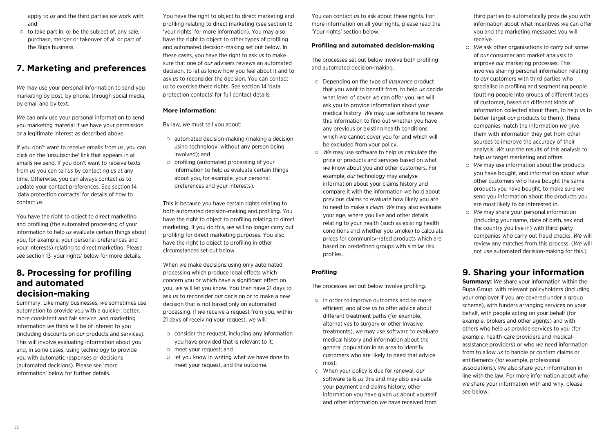apply to *us* and the third parties *we* work with; and

 $\circ$  to take part in, or be the subject of, any sale. purchase, merger or takeover of all or part of the Bupa business.

### **7. Marketing and preferences**

*We* may use your personal information to send you marketing by post, by phone, through social media, by email and by text.

*We* can only use your personal information to send you marketing material if *we* have your permission or a legitimate interest as described above.

If you don't want to receive emails from *us*, you can click on the 'unsubscribe' link that appears in all emails *we* send. If you don't want to receive texts from *us* you can tell *us* by contacting *us* at any time. Otherwise, you can always contact *us* to update your contact preferences. See section 14 'data protection contacts' for details of how to contact *us*.

You have the right to object to direct marketing and profiling (the automated processing of your information to help *us* evaluate certain things about you, for example, your personal preferences and your interests) relating to direct marketing. Please see section 13 'your rights' below for more details.

### **8. Processing for profiling and automated decision-making**

Summary: Like many businesses, *we* sometimes use automation to provide you with a quicker, better, more consistent and fair service, and marketing information *we* think will be of interest to you (including discounts on *our* products and services). This will involve evaluating information about you and, in some cases, using technology to provide you with automatic responses or decisions (automated decisions). Please see 'more information' below for further details.

You have the right to object to direct marketing and profiling relating to direct marketing (see section 13 'your rights' for more information). You may also have the right to object to other types of profiling and automated decision-making set out below. In these cases, you have the right to ask *us* to make sure that one of *our* advisers reviews an automated decision, to let *us* know how you feel about it and to ask *us* to reconsider the decision. You can contact *us* to exercise these rights. See section 14 'data protection contacts' for full contact details.

#### **More information:**

By law, *we* must tell you about:

- automated decision-making (making a decision using technology, without any person being involved); and
- profiling (automated processing of your information to help *us* evaluate certain things about you, for example, your personal preferences and your interests).

This is because you have certain rights relating to both automated decision-making and profiling. You have the right to object to profiling relating to direct marketing. If you do this, *we* will no longer carry out profiling for direct marketing purposes. You also have the right to object to profiling in other circumstances set out below.

When *we* make decisions using only automated processing which produce legal effects which concern you or which have a significant effect on you, *we* will let you know. You then have 21 days to ask *us* to reconsider *our* decision or to make a new decision that is not based only on automated processing. If *we* receive a request from you, within 21 days of receiving your request, *we* will:

- $\circ$  consider the request, including any information you have provided that is relevant to it;
- meet your request; and
- let you know in writing what *we* have done to meet your request, and the outcome.

You can contact *us* to ask about these rights. For more information on all your rights, please read the 'Your rights' section below.

#### **Profiling and automated decision-making**

The processes set out below involve both profiling and automated decision-making.

- Depending on the type of *insurance* product that you want to benefit from, to help *us* decide what level of cover *we* can offer you, *we* will ask you to provide information about your medical history. *We* may use software to review this information to find out whether you have any previous or existing health conditions which *we* cannot cover you for and which will be excluded from your policy.
- *We* may use software to help *us* calculate the price of products and services based on what *we* know about you and other customers. For example, *our* technology may analyse information about your claims history and compare it with the information *we* hold about previous claims to evaluate how likely you are to need to make a *claim*. *We* may also evaluate your age, where you live and other details relating to your health (such as existing health conditions and whether you smoke) to calculate prices for community-rated products which are based on predefined groups with similar risk profiles.

### **Profiling**

The processes set out below involve profiling.

- $\circ$  In order to improve outcomes and be more efficient, and allow *us* to offer advice about different treatment paths (for example, alternatives to surgery or other invasive treatments), *we* may use software to evaluate medical history and information about the general population in an area to identify customers who are likely to need that advice most.
- When your policy is due for renewal, *our* software tells *us* this and may also evaluate your payment and claims history, other information you have given *us* about yourself and other information *we* have received from

third parties to automatically provide you with information about what incentives *we* can offer you and the marketing messages you will receive.

- *We* ask other organisations to carry out some of *our* consumer and market analysis to improve *our* marketing processes. This involves sharing personal information relating to *our* customers with third parties who specialise in profiling and segmenting people (putting people into groups of different types of customer, based on different kinds of information collected about them, to help *us* to better target *our* products to them). These companies match the information *we* give them with information they get from other sources to improve the accuracy of their analysis. *We* use the results of this analysis to help *us* target marketing and offers.
- *We* may use information about the products you have bought, and information about what other customers who have bought the same products you have bought, to make sure *we* send you information about the products you are most likely to be interested in.
- *We* may share your personal information (including your name, date of birth, sex and the country you live in) with third-party companies who carry out fraud checks. *We* will review any matches from this process. (*We* will not use automated decision-making for this.)

### **9. Sharing your information**

**Summary:** *We* share your information within the Bupa Group, with relevant policyholders (including your employer if you are covered under a group scheme), with funders arranging services on your behalf, with people acting on your behalf (for example, brokers and other agents) and with others who help *us* provide services to you (for example, health-care providers and medicalassistance providers) or who *we* need information from to allow *us* to handle or confirm claims or entitlements (for example, professional associations). *We* also share your information in line with the law. For more information about who *we* share your information with and why, please see below.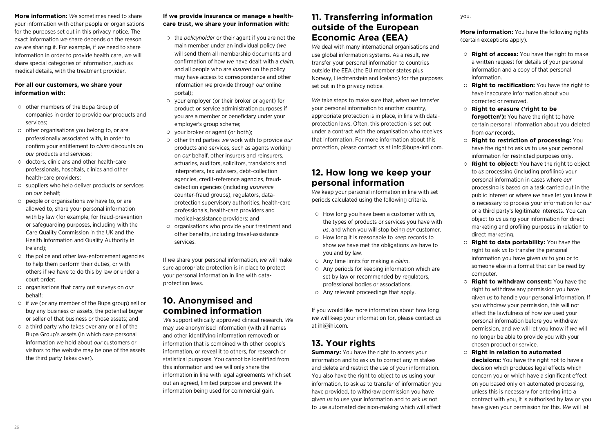**More information:** *We* sometimes need to share your information with other people or organisations for the purposes set out in this privacy notice. The exact information *we* share depends on the reason *we* are sharing it. For example, if *we* need to share information in order to provide health care, *we* will share special categories of information, such as medical details, with the treatment provider.

#### **For all our customers, we share your information with:**

- other members of the Bupa Group of companies in order to provide *our* products and services;
- $\circ$  other organisations you belong to, or are professionally associated with, in order to confirm your entitlement to *claim* discounts on *our* products and services;
- doctors, clinicians and other health-care professionals, hospitals, clinics and other health-care providers;
- $\circ$  suppliers who help deliver products or services on *our* behalf;
- people or organisations *we* have to, or are allowed to, share your personal information with by law (for example, for fraud-prevention or safeguarding purposes, including with the Care Quality Commission in the UK and the Health Information and Quality Authority in Ireland);
- $\circ$  the police and other law-enforcement agencies to help them perform their duties, or with others if *we* have to do this by law or under a court order;
- organisations that carry out surveys on *our* behalf;
- if *we* (or any member of the Bupa group) sell or buy any business or assets, the potential buyer or seller of that business or those assets; and
- $\circ$  a third party who takes over any or all of the Bupa Group's assets (in which case personal information *we* hold about *our* customers or visitors to the website may be one of the assets the third party takes over).

### **If we provide insurance or manage a healthcare trust, we share your information with:**

- the *policyholder* or their agent if you are not the main member under an individual policy (*we* will send them all membership documents and confirmation of how *we* have dealt with a *claim*, and all people who are *insured* on the policy may have access to correspondence and other information *we* provide through *our* online portal);
- your employer (or their broker or agent) for product or service administration purposes if you are a member or beneficiary under your employer's group scheme;
- your broker or agent (or both):
- other third parties *we* work with to provide *our* products and services, such as agents working on *our* behalf, other insurers and reinsurers, actuaries, auditors, solicitors, translators and interpreters, tax advisers, debt-collection agencies, credit-reference agencies, frauddetection agencies (including *insurance* counter-fraud groups), regulators, dataprotection supervisory authorities, health-care professionals, health-care providers and medical-assistance providers; and
- $\circ$  organisations who provide your treatment and other benefits, including travel-assistance services.

If *we* share your personal information, *we* will make sure appropriate protection is in place to protect your personal information in line with dataprotection laws.

### **10. Anonymised and combined information**

*We* support ethically approved clinical research. *We* may use anonymised information (with all names and other identifying information removed) or information that is combined with other people's information, or reveal it to others, for research or statistical purposes. You cannot be identified from this information and *we* will only share the information in line with legal agreements which set out an agreed, limited purpose and prevent the information being used for commercial gain.

### **11. Transferring information outside of the European Economic Area (EEA)**

*We* deal with many international organisations and use global information systems. As a result, *we* transfer your personal information to countries outside the EEA (the EU member states plus Norway, Liechtenstein and Iceland) for the purposes set out in this privacy notice.

*We* take steps to make sure that, when *we* transfer your personal information to another country, appropriate protection is in place, in line with dataprotection laws. Often, this protection is set out under a contract with the organisation who receives that information. For more information about this protection, please contact *us* at info@bupa-intl.com.

### **12. How long we keep your personal information**

*We* keep your personal information in line with set periods calculated using the following criteria.

- How long you have been a customer with *us*, the types of products or services you have with *us*, and when you will stop being *our* customer.
- How long it is reasonable to keep records to show *we* have met the obligations *we* have to you and by law.
- Any time limits for making a *claim*.
- $\circ$  Any periods for keeping information which are set by law or recommended by regulators, professional bodies or associations.
- Any relevant proceedings that apply.

If you would like more information about how long *we* will keep your information for, please contact *us* at ihi@ihi.com.

### **13. Your rights**

**Summary:** You have the right to access your information and to ask *us* to correct any mistakes and delete and restrict the use of your information. You also have the right to object to *us* using your information, to ask *us* to transfer of information you have provided, to withdraw permission you have given *us* to use your information and to ask *us* not to use automated decision-making which will affect

#### you.

**More information:** You have the following rights (certain exceptions apply).

- **Right of access:** You have the right to make a written request for details of your personal information and a copy of that personal information.
- **Right to rectification:** You have the right to have inaccurate information about you corrected or removed.
- **Right to erasure ('right to be forgotten'):** You have the right to have certain personal information about you deleted from *our* records.
- **Right to restriction of processing:** You have the right to ask *us* to use your personal information for restricted purposes only.
- **Right to object:** You have the right to object to *us* processing (including profiling) your personal information in cases where *our* processing is based on a task carried out in the public interest or where *we* have let you know it is necessary to process your information for *our* or a third party's legitimate interests. You can object to *us* using your information for direct marketing and profiling purposes in relation to direct marketing.
- **Right to data portability:** You have the right to ask *us* to transfer the personal information you have given *us* to you or to someone else in a format that can be read by computer.
- **Right to withdraw consent:** You have the right to withdraw any permission you have given *us* to handle your personal information. If you withdraw your permission, this will not affect the lawfulness of how *we* used your personal information before you withdrew permission, and *we* will let you know if *we* will no longer be able to provide you with your chosen product or service.
- **Right in relation to automated decisions:** You have the right not to have a decision which produces legal effects which concern you or which have a significant effect on you based only on automated processing, unless this is necessary for entering into a contract with you, it is authorised by law or you have given your permission for this. *We* will let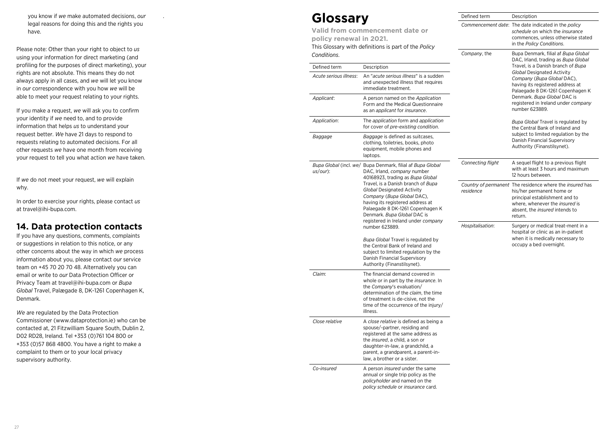### **14. Data protection contacts**

| you know if we make automated decisions, our                                                       | Glossary               |                                                                                           | Defined term             | Description                                                                                                                                                      |
|----------------------------------------------------------------------------------------------------|------------------------|-------------------------------------------------------------------------------------------|--------------------------|------------------------------------------------------------------------------------------------------------------------------------------------------------------|
| legal reasons for doing this and the rights you                                                    |                        |                                                                                           |                          | Commencement date: The date indicated in the policy<br>schedule on which the <i>insurance</i><br>commences, unless otherwise stated<br>in the Policy Conditions. |
| have.                                                                                              |                        | Valid from commencement date or<br>policy renewal in 2021.                                |                          |                                                                                                                                                                  |
| Please note: Other than your right to object to us                                                 |                        | This Glossary with definitions is part of the Policy                                      | Company, the             | Bupa Denmark, filial af Bupa Global                                                                                                                              |
| using your information for direct marketing (and                                                   | Conditions.            |                                                                                           |                          | DAC, Irland, trading as Bupa Global                                                                                                                              |
| profiling for the purposes of direct marketing), your                                              | Defined term           | Description                                                                               |                          | Travel, is a Danish branch of Bupa                                                                                                                               |
| rights are not absolute. This means they do not                                                    | Acute serious illness: | An "acute serious illness" is a sudden                                                    |                          | <b>Global Designated Activity</b>                                                                                                                                |
| always apply in all cases, and we will let you know                                                |                        | and unexpected illness that requires                                                      |                          | Company (Bupa Global DAC),<br>having its registered address at                                                                                                   |
| in our correspondence with you how we will be                                                      |                        | immediate treatment.                                                                      |                          | Palaegade 8 DK-1261 Copenhagen K                                                                                                                                 |
| able to meet your request relating to your rights.                                                 | Applicant:             | A person named on the Application<br>Form and the Medical Questionnaire                   |                          | Denmark. Bupa Global DAC is<br>registered in Ireland under company                                                                                               |
| If you make a request, we will ask you to confirm                                                  |                        | as an applicant for insurance.                                                            |                          | number 623889.                                                                                                                                                   |
| your identity if we need to, and to provide                                                        | Application:           | The application form and application                                                      |                          | Bupa Global Travel is regulated by                                                                                                                               |
| information that helps us to understand your                                                       |                        | for cover of pre-existing condition.                                                      |                          | the Central Bank of Ireland and                                                                                                                                  |
| request better. We have 21 days to respond to                                                      | Baggage                | <i>Baggage</i> is defined as suitcases,                                                   |                          | subject to limited regulation by the                                                                                                                             |
| requests relating to automated decisions. For all                                                  |                        | clothing, toiletries, books, photo                                                        |                          | Danish Financial Supervisory<br>Authority (Finanstilsynet).                                                                                                      |
| other requests we have one month from receiving                                                    |                        | equipment, mobile phones and<br>laptops.                                                  |                          |                                                                                                                                                                  |
| your request to tell you what action we have taken.                                                |                        |                                                                                           | <b>Connecting flight</b> | A sequel flight to a previous flight                                                                                                                             |
|                                                                                                    | $us/our)$ :            | Bupa Global (incl. we/ Bupa Denmark, filial af Bupa Global<br>DAC, Irland, company number |                          | with at least 3 hours and maximum                                                                                                                                |
| If we do not meet your request, we will explain                                                    |                        | 40168923, trading as Bupa Global                                                          |                          | 12 hours between.                                                                                                                                                |
|                                                                                                    |                        | Travel, is a Danish branch of Bupa                                                        |                          | Country of permanent The residence where the insured has                                                                                                         |
| why.                                                                                               |                        | Global Designated Activity                                                                | residence                | his/her permanent home or                                                                                                                                        |
| In order to exercise your rights, please contact us                                                |                        | Company (Bupa Global DAC),<br>having its registered address at                            |                          | principal establishment and to<br>where, whenever the insured is                                                                                                 |
| at travel@ihi-bupa.com.                                                                            |                        | Palaegade 8 DK-1261 Copenhagen K                                                          |                          | absent, the <i>insured</i> intends to                                                                                                                            |
|                                                                                                    |                        | Denmark. Bupa Global DAC is                                                               |                          | return.                                                                                                                                                          |
| <b>14. Data protection contacts</b>                                                                |                        | registered in Ireland under company<br>number 623889.                                     | Hospitalisation:         | Surgery or medical treat-ment in a                                                                                                                               |
|                                                                                                    |                        |                                                                                           |                          | hospital or clinic as an in-patient                                                                                                                              |
| If you have any questions, comments, complaints                                                    |                        | Bupa Global Travel is regulated by                                                        |                          | when it is medically necessary to                                                                                                                                |
| or suggestions in relation to this notice, or any                                                  |                        | the Central Bank of Ireland and                                                           |                          | occupy a bed overnight.                                                                                                                                          |
| other concerns about the way in which we process                                                   |                        | subject to limited regulation by the<br>Danish Financial Supervisory                      |                          |                                                                                                                                                                  |
| information about you, please contact our service                                                  |                        | Authority (Finanstilsynet).                                                               |                          |                                                                                                                                                                  |
| team on +45 70 20 70 48. Alternatively you can<br>email or write to our Data Protection Officer or | Claim:                 | The financial demand covered in                                                           |                          |                                                                                                                                                                  |
| Privacy Team at travel@ihi-bupa.com or Bupa                                                        |                        | whole or in part by the <i>insurance</i> . In                                             |                          |                                                                                                                                                                  |
| Global Travel, Palægade 8, DK-1261 Copenhagen K,                                                   |                        | the Company's evaluation/                                                                 |                          |                                                                                                                                                                  |
|                                                                                                    |                        | determination of the claim, the time<br>of treatment is de-cisive, not the                |                          |                                                                                                                                                                  |
| Denmark.                                                                                           |                        | time of the occurrence of the injury/                                                     |                          |                                                                                                                                                                  |
| We are regulated by the Data Protection                                                            |                        | illness.                                                                                  |                          |                                                                                                                                                                  |
| Commissioner (www.dataprotection.ie) who can be                                                    | Close relative         | A close relative is defined as being a                                                    |                          |                                                                                                                                                                  |
| contacted at, 21 Fitzwilliam Square South, Dublin 2,                                               |                        | spouse/-partner, residing and                                                             |                          |                                                                                                                                                                  |
| D02 RD28, Ireland. Tel +353 (0)761 104 800 or                                                      |                        | registered at the same address as                                                         |                          |                                                                                                                                                                  |
| +353 (0)57 868 4800. You have a right to make a                                                    |                        | the insured, a child, a son or<br>daughter-in-law, a grandchild, a                        |                          |                                                                                                                                                                  |
| complaint to them or to your local privacy                                                         |                        | parent, a grandparent, a parent-in-                                                       |                          |                                                                                                                                                                  |
| supervisory authority.                                                                             |                        | law, a brother or a sister.                                                               |                          |                                                                                                                                                                  |
|                                                                                                    | Co-insured             | A person <i>insured</i> under the same                                                    |                          |                                                                                                                                                                  |
|                                                                                                    |                        | annual or single trip policy as the                                                       |                          |                                                                                                                                                                  |
|                                                                                                    |                        | policyholder and named on the                                                             |                          |                                                                                                                                                                  |
|                                                                                                    |                        | policy schedule or insurance card.                                                        |                          |                                                                                                                                                                  |
|                                                                                                    |                        |                                                                                           |                          |                                                                                                                                                                  |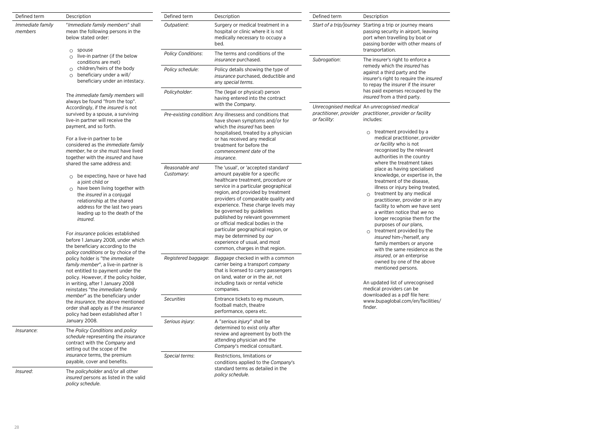| Defined term                                                                                                                                                                                                                                                                                                                                                                                                                                     | Description                                                                                                                                                                                                                                                                                                                                                                                            | Defined term                                                                                                                                                                                          | Description                                                                                                                                                                                                                                                                                                                                                                                                                                                                                                       | Defined term                                                                                                                                                              | Description                                                                                                                                                                                                                                                                                                                                                                                                                                                                                     |  |
|--------------------------------------------------------------------------------------------------------------------------------------------------------------------------------------------------------------------------------------------------------------------------------------------------------------------------------------------------------------------------------------------------------------------------------------------------|--------------------------------------------------------------------------------------------------------------------------------------------------------------------------------------------------------------------------------------------------------------------------------------------------------------------------------------------------------------------------------------------------------|-------------------------------------------------------------------------------------------------------------------------------------------------------------------------------------------------------|-------------------------------------------------------------------------------------------------------------------------------------------------------------------------------------------------------------------------------------------------------------------------------------------------------------------------------------------------------------------------------------------------------------------------------------------------------------------------------------------------------------------|---------------------------------------------------------------------------------------------------------------------------------------------------------------------------|-------------------------------------------------------------------------------------------------------------------------------------------------------------------------------------------------------------------------------------------------------------------------------------------------------------------------------------------------------------------------------------------------------------------------------------------------------------------------------------------------|--|
| Immediate family<br>members                                                                                                                                                                                                                                                                                                                                                                                                                      | "Immediate family members" shall<br>mean the following persons in the<br>below stated order:                                                                                                                                                                                                                                                                                                           | Outpatient:<br>Surgery or medical treatment in a<br>hospital or clinic where it is not<br>medically necessary to occupy a<br>bed.                                                                     |                                                                                                                                                                                                                                                                                                                                                                                                                                                                                                                   | Start of a trip/journey Starting a trip or journey means<br>passing security in airport, leaving<br>port when travelling by boat or<br>passing border with other means of |                                                                                                                                                                                                                                                                                                                                                                                                                                                                                                 |  |
| $O$ spouse<br>live-in partner (if the below<br>$\circ$<br>conditions are met)<br>$\circ$ children/heirs of the body<br>beneficiary under a will/<br>$\circ$<br>beneficiary under an intestacy.                                                                                                                                                                                                                                                   |                                                                                                                                                                                                                                                                                                                                                                                                        | <b>Policy Conditions:</b>                                                                                                                                                                             | The terms and conditions of the<br>insurance purchased.                                                                                                                                                                                                                                                                                                                                                                                                                                                           | Subrogation:                                                                                                                                                              | transportation.<br>The insurer's right to enforce a                                                                                                                                                                                                                                                                                                                                                                                                                                             |  |
|                                                                                                                                                                                                                                                                                                                                                                                                                                                  | Policy schedule:                                                                                                                                                                                                                                                                                                                                                                                       | Policy details showing the type of<br>insurance purchased, deductible and<br>any special terms.                                                                                                       |                                                                                                                                                                                                                                                                                                                                                                                                                                                                                                                   | remedy which the insured has<br>against a third party and the<br>insurer's right to require the insured<br>to repay the insurer if the insurer                            |                                                                                                                                                                                                                                                                                                                                                                                                                                                                                                 |  |
|                                                                                                                                                                                                                                                                                                                                                                                                                                                  | The <i>immediate family members</i> will<br>always be found "from the top".                                                                                                                                                                                                                                                                                                                            | Policyholder:                                                                                                                                                                                         | The (legal or physical) person<br>having entered into the contract<br>with the Company.                                                                                                                                                                                                                                                                                                                                                                                                                           |                                                                                                                                                                           | has paid expenses recouped by the<br>insured from a third party.                                                                                                                                                                                                                                                                                                                                                                                                                                |  |
|                                                                                                                                                                                                                                                                                                                                                                                                                                                  | Accordingly, if the <i>insured</i> is not<br>survived by a spouse, a surviving<br>live-in partner will receive the<br>payment, and so forth.<br>For a live-in partner to be<br>considered as the <i>immediate family</i><br>member, he or she must have lived<br>together with the insured and have                                                                                                    |                                                                                                                                                                                                       | Pre-existing condition: Any illnessess and conditions that<br>have shown symptoms and/or for<br>which the insured has been<br>hospitalised, treated by a physician<br>or has received any medical<br>treatment for before the<br>commencement date of the<br><i>insurance.</i>                                                                                                                                                                                                                                    | or facility:                                                                                                                                                              | Unrecognised medical An unrecognised medical<br>practitioner, provider practitioner, provider or facility<br>includes:<br>$\circ$ treatment provided by a<br>medical practitioner, provider<br>or facility who is not<br>recognised by the relevant<br>authorities in the country                                                                                                                                                                                                               |  |
|                                                                                                                                                                                                                                                                                                                                                                                                                                                  | shared the same address and:<br>$\circ$ be expecting, have or have had<br>a joint child or<br>$\circ$ have been living together with<br>the <i>insured</i> in a conjugal<br>relationship at the shared<br>address for the last two years<br>leading up to the death of the<br>insured.<br>For insurance policies established<br>before 1 January 2008, under which<br>the beneficiary according to the | Reasonable and<br>Customary:                                                                                                                                                                          | The 'usual', or 'accepted standard'<br>amount payable for a specific<br>healthcare treatment, procedure or<br>service in a particular geographical<br>region, and provided by treatment<br>providers of comparable quality and<br>experience. These charge levels may<br>be governed by guidelines<br>published by relevant government<br>or official medical bodies in the<br>particular geographical region, or<br>may be determined by our<br>experience of usual, and most<br>common, charges in that region. |                                                                                                                                                                           | where the treatment takes<br>place as having specialised<br>knowledge, or expertise in, the<br>treatment of the disease,<br>illness or injury being treated,<br>$\circ$ treatment by any medical<br>practitioner, provider or in any<br>facility to whom we have sent<br>a written notice that we no<br>longer recognise them for the<br>purposes of our plans,<br>$\circ$ treatment provided by the<br>insured him-/herself, any<br>family members or anyone<br>with the same residence as the |  |
| policy conditions or by choice of the<br>policy holder is "the immediate<br>family member", a live-in partner is<br>not entitled to payment under the<br>policy. However, if the policy holder,<br>in writing, after 1 January 2008<br>reinstates "the immediate family<br>member" as the beneficiary under<br>the <i>insurance</i> , the above mentioned<br>order shall apply as if the <i>insurance</i><br>policy had been established after 1 | Registered baggage:                                                                                                                                                                                                                                                                                                                                                                                    | Baggage checked in with a common<br>carrier being a transport company<br>that is licensed to carry passengers<br>on land, water or in the air, not<br>including taxis or rental vehicle<br>companies. |                                                                                                                                                                                                                                                                                                                                                                                                                                                                                                                   | insured, or an enterprise<br>owned by one of the above<br>mentioned persons.<br>An updated list of unrecognised<br>medical providers can be                               |                                                                                                                                                                                                                                                                                                                                                                                                                                                                                                 |  |
|                                                                                                                                                                                                                                                                                                                                                                                                                                                  |                                                                                                                                                                                                                                                                                                                                                                                                        | <b>Securities</b>                                                                                                                                                                                     | Entrance tickets to eg museum,<br>football match, theatre<br>performance, opera etc.                                                                                                                                                                                                                                                                                                                                                                                                                              |                                                                                                                                                                           | downloaded as a pdf file here:<br>www.bupaglobal.com/en/facilities/<br>finder.                                                                                                                                                                                                                                                                                                                                                                                                                  |  |
| Insurance:                                                                                                                                                                                                                                                                                                                                                                                                                                       | January 2008.<br>The Policy Conditions and policy<br>schedule representing the insurance<br>contract with the Company and<br>setting out the scope of the                                                                                                                                                                                                                                              | Serious injury:                                                                                                                                                                                       | A "serious injury" shall be<br>determined to exist only after<br>review and agreement by both the<br>attending physician and the<br>Company's medical consultant.                                                                                                                                                                                                                                                                                                                                                 |                                                                                                                                                                           |                                                                                                                                                                                                                                                                                                                                                                                                                                                                                                 |  |
|                                                                                                                                                                                                                                                                                                                                                                                                                                                  | insurance terms, the premium<br>payable, cover and benefits.                                                                                                                                                                                                                                                                                                                                           | Special terms:                                                                                                                                                                                        | Restrictions, limitations or<br>conditions applied to the Company's                                                                                                                                                                                                                                                                                                                                                                                                                                               |                                                                                                                                                                           |                                                                                                                                                                                                                                                                                                                                                                                                                                                                                                 |  |
| Insured:                                                                                                                                                                                                                                                                                                                                                                                                                                         | The policyholder and/or all other<br>insured persons as listed in the valid<br>policy schedule.                                                                                                                                                                                                                                                                                                        |                                                                                                                                                                                                       | standard terms as detailed in the<br>policy schedule.                                                                                                                                                                                                                                                                                                                                                                                                                                                             |                                                                                                                                                                           |                                                                                                                                                                                                                                                                                                                                                                                                                                                                                                 |  |